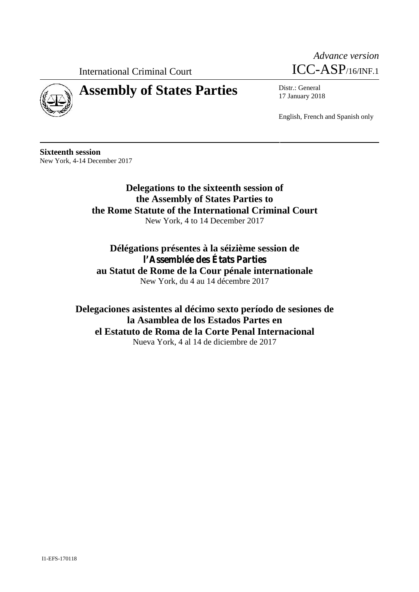International Criminal Court



# **Assembly of States Parties** Distr.: General



17 January 2018

English, French and Spanish only

**Sixteenth session** New York, 4-14 December 2017

> **Delegations to the sixteenth session of the Assembly of States Parties to the Rome Statute of the International Criminal Court** New York, 4 to 14 December 2017

**Délégations présentes à la séizième session de l'Assemblée des États Parties au Statut de Rome de la Cour pénale internationale** New York, du 4 au 14 décembre 2017

**Delegaciones asistentes al décimo sexto período de sesiones de la Asamblea de los Estados Partes en el Estatuto de Roma de la Corte Penal Internacional** Nueva York, 4 al 14 de diciembre de 2017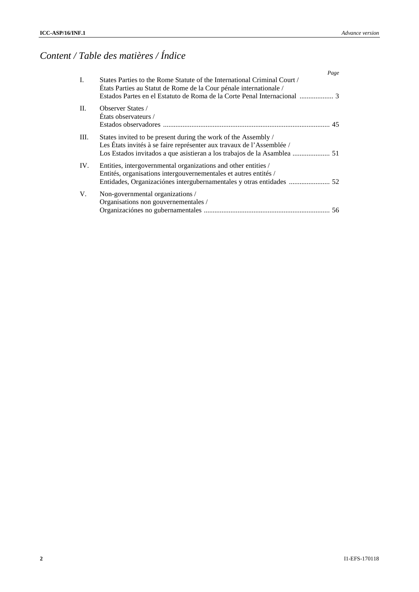# *Content / Table des matières / Índice*

|                | Page                                                                                                                                                                                                                |  |
|----------------|---------------------------------------------------------------------------------------------------------------------------------------------------------------------------------------------------------------------|--|
| $\mathbf{I}$ . | States Parties to the Rome Statute of the International Criminal Court /<br>États Parties au Statut de Rome de la Cour pénale internationale /                                                                      |  |
| II.            | <b>Observer States</b> /<br>Etats observateurs /                                                                                                                                                                    |  |
| III.           | States invited to be present during the work of the Assembly /<br>Les États invités à se faire représenter aux travaux de l'Assemblée /<br>Los Estados invitados a que asistieran a los trabajos de la Asamblea  51 |  |
| IV.            | Entities, intergovernmental organizations and other entities /<br>Entités, organisations intergouvernementales et autres entités /<br>Entidades, Organizaciónes intergubernamentales y otras entidades  52          |  |
| V.             | Non-governmental organizations /<br>Organisations non gouvernementales /                                                                                                                                            |  |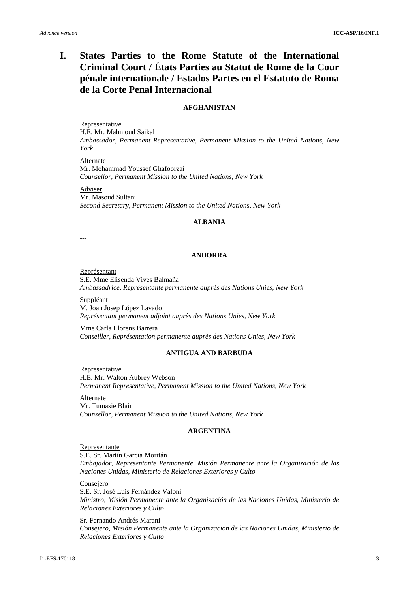## **I. States Parties to the Rome Statute of the International Criminal Court / États Parties au Statut de Rome de la Cour pénale internationale / Estados Partes en el Estatuto de Roma de la Corte Penal Internacional**

## **AFGHANISTAN**

Representative H.E. Mr. Mahmoud Saikal *Ambassador, Permanent Representative, Permanent Mission to the United Nations, New York*

Alternate Mr. Mohammad Youssof Ghafoorzai *Counsellor, Permanent Mission to the United Nations, New York*

Adviser Mr. Masoud Sultani *Second Secretary, Permanent Mission to the United Nations, New York*

## **ALBANIA**

---

## **ANDORRA**

Représentant S.E. Mme Elisenda Vives Balmaña *Ambassadrice, Représentante permanente auprès des Nations Unies, New York*

Suppléant M. Joan Josep López Lavado *Représentant permanent adjoint auprès des Nations Unies, New York*

Mme Carla Llorens Barrera *Conseiller, Représentation permanente auprès des Nations Unies, New York*

#### **ANTIGUA AND BARBUDA**

Representative H.E. Mr. Walton Aubrey Webson *Permanent Representative, Permanent Mission to the United Nations, New York*

Alternate Mr. Tumasie Blair *Counsellor, Permanent Mission to the United Nations, New York*

#### **ARGENTINA**

#### Representante

S.E. Sr. Martín García Moritán *Embajador, Representante Permanente, Misión Permanente ante la Organización de las Naciones Unidas, Ministerio de Relaciones Exteriores y Culto*

Consejero

S.E. Sr. José Luis Fernández Valoni *Ministro, Misión Permanente ante la Organización de las Naciones Unidas, Ministerio de Relaciones Exteriores y Culto*

Sr. Fernando Andrés Marani *Consejero, Misión Permanente ante la Organización de las Naciones Unidas, Ministerio de Relaciones Exteriores y Culto*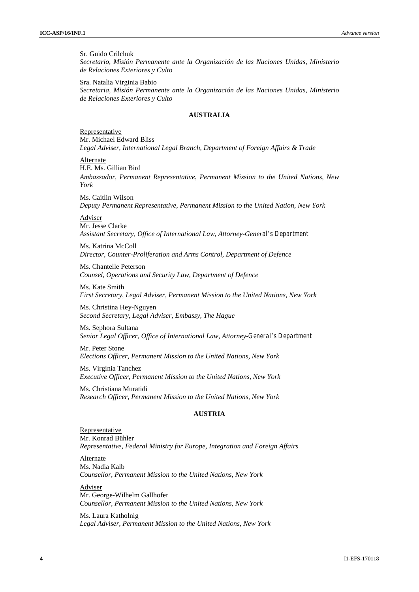Sr. Guido Crilchuk *Secretario, Misión Permanente ante la Organización de las Naciones Unidas, Ministerio de Relaciones Exteriores y Culto*

Sra. Natalia Virginia Babio *Secretaria, Misión Permanente ante la Organización de las Naciones Unidas, Ministerio de Relaciones Exteriores y Culto*

## **AUSTRALIA**

Representative Mr. Michael Edward Bliss *Legal Adviser, International Legal Branch, Department of Foreign Affairs & Trade*

Alternate H.E. Ms. Gillian Bird *Ambassador, Permanent Representative*, *Permanent Mission to the United Nations, New York*

Ms. Caitlin Wilson *Deputy Permanent Representative, Permanent Mission to the United Nation, New York*

**Adviser** Mr. Jesse Clarke *Assistant Secretary, Office of International Law, Attorney-General's Department*

Ms. Katrina McColl *Director, Counter-Proliferation and Arms Control, Department of Defence*

Ms. Chantelle Peterson *Counsel, Operations and Security Law, Department of Defence*

Ms. Kate Smith *First Secretary, Legal Adviser, Permanent Mission to the United Nations, New York*

Ms. Christina Hey-Nguyen *Second Secretary, Legal Adviser, Embassy, The Hague*

Ms. Sephora Sultana *Senior Legal Officer, Office of International Law, Attorney-General's Department*

Mr. Peter Stone *Elections Officer, Permanent Mission to the United Nations, New York*

Ms. Virginia Tanchez *Executive Officer, Permanent Mission to the United Nations, New York*

Ms. Christiana Muratidi *Research Officer, Permanent Mission to the United Nations, New York*

## **AUSTRIA**

Representative Mr. Konrad Bühler *Representative, Federal Ministry for Europe, Integration and Foreign Affairs*

Alternate Ms. Nadia Kalb *Counsellor, Permanent Mission to the United Nations, New York*

Adviser Mr. George-Wilhelm Gallhofer *Counsellor, Permanent Mission to the United Nations, New York*

Ms. Laura Katholnig *Legal Adviser, Permanent Mission to the United Nations, New York*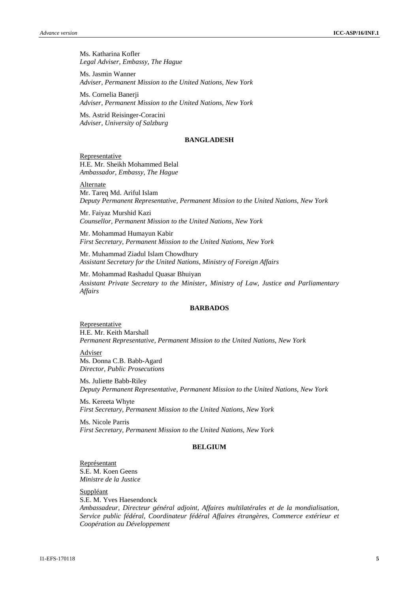Ms. Katharina Kofler *Legal Adviser, Embassy, The Hague*

Ms. Jasmin Wanner *Adviser, Permanent Mission to the United Nations, New York*

Ms. Cornelia Banerji *Adviser, Permanent Mission to the United Nations, New York*

Ms. Astrid Reisinger-Coracini *Adviser, University of Salzburg*

#### **BANGLADESH**

Representative H.E. Mr. Sheikh Mohammed Belal *Ambassador, Embassy, The Hague*

**Alternate** Mr. Tareq Md. Ariful Islam *Deputy Permanent Representative, Permanent Mission to the United Nations, New York*

Mr. Faiyaz Murshid Kazi *Counsellor, Permanent Mission to the United Nations, New York*

Mr. Mohammad Humayun Kabir *First Secretary, Permanent Mission to the United Nations, New York*

Mr. Muhammad Ziadul Islam Chowdhury *Assistant Secretary for the United Nations, Ministry of Foreign Affairs*

Mr. Mohammad Rashadul Quasar Bhuiyan *Assistant Private Secretary to the Minister*, *Ministry of Law, Justice and Parliamentary Affairs*

#### **BARBADOS**

**Representative** H.E. Mr. Keith Marshall *Permanent Representative, Permanent Mission to the United Nations, New York*

Adviser Ms. Donna C.B. Babb-Agard *Director, Public Prosecutions*

Ms. Juliette Babb-Riley *Deputy Permanent Representative, Permanent Mission to the United Nations, New York*

Ms. Kereeta Whyte *First Secretary, Permanent Mission to the United Nations, New York*

Ms. Nicole Parris *First Secretary, Permanent Mission to the United Nations, New York*

## **BELGIUM**

Représentant S.E. M. Koen Geens *Ministre de la Justice*

Suppléant

S.E. M. Yves Haesendonck *Ambassadeur, Directeur général adjoint, Affaires multilatérales et de la mondialisation, Service public fédéral, Coordinateur fédéral Affaires étrangères, Commerce extérieur et Coopération au Développement*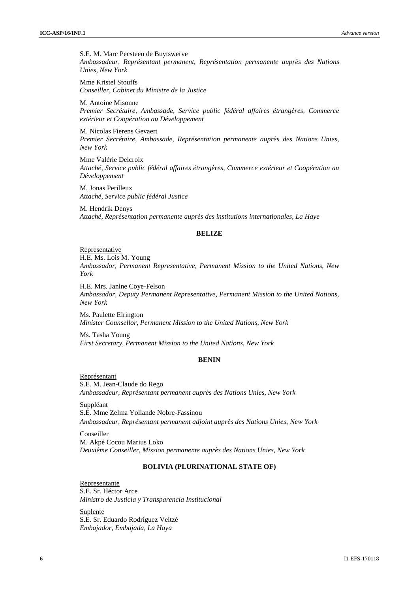S.E. M. Marc Pecsteen de Buytswerve *Ambassadeur, Représentant permanent, Représentation permanente auprès des Nations Unies, New York*

Mme Kristel Stouffs *Conseiller, Cabinet du Ministre de la Justice*

M. Antoine Misonne *Premier Secrétaire, Ambassade, Service public fédéral affaires étrangères, Commerce extérieur et Coopération au Développement*

M. Nicolas Fierens Gevaert *Premier Secrétaire, Ambassade, Représentation permanente auprès des Nations Unies, New York*

Mme Valérie Delcroix *Attaché, Service public fédéral affaires étrangères, Commerce extérieur et Coopération au Développement*

M. Jonas Perilleux *Attaché, Service public fédéral Justice*

M. Hendrik Denys *Attaché, Représentation permanente auprès des institutions internationales, La Haye*

#### **BELIZE**

**Representative** H.E. Ms. Lois M. Young *Ambassador, Permanent Representative, Permanent Mission to the United Nations, New York*

H.E. Mrs. Janine Coye-Felson *Ambassador, Deputy Permanent Representative, Permanent Mission to the United Nations, New York*

Ms. Paulette Elrington *Minister Counsellor, Permanent Mission to the United Nations, New York*

Ms. Tasha Young *First Secretary, Permanent Mission to the United Nations, New York*

## **BENIN**

Représentant S.E. M. Jean-Claude do Rego *Ambassadeur, Représentant permanent auprès des Nations Unies, New York*

Suppléant S.E. Mme Zelma Yollande Nobre-Fassinou *Ambassadeur, Représentant permanent adjoint auprès des Nations Unies*, *New York*

Conseiller M. Akpé Cocou Marius Loko *Deuxième Conseiller, Mission permanente auprès des Nations Unies, New York*

## **BOLIVIA (PLURINATIONAL STATE OF)**

Representante S.E. Sr. Héctor Arce *Ministro de Justicia y Transparencia Institucional*

Suplente S.E. Sr. Eduardo Rodríguez Veltzé *Embajador, Embajada, La Haya*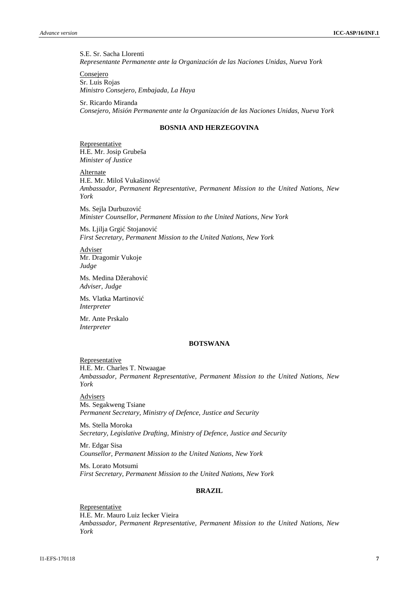S.E. Sr. Sacha Llorenti *Representante Permanente ante la Organización de las Naciones Unidas, Nueva York*

Consejero Sr. Luis Rojas *Ministro Consejero, Embajada, La Haya*

Sr. Ricardo Miranda *Consejero, Misión Permanente ante la Organización de las Naciones Unidas, Nueva York*

## **BOSNIA AND HERZEGOVINA**

Representative H.E. Mr. Josip Grubeša *Minister of Justice*

Alternate H.E. Mr. Miloš Vukašinović *Ambassador, Permanent Representative, Permanent Mission to the United Nations, New York*

Ms. Sejla Durbuzovi *Minister Counsellor, Permanent Mission to the United Nations, New York*

Ms. Ljilja Grgi Stojanovi *First Secretary, Permanent Mission to the United Nations, New York*

Adviser Mr. Dragomir Vukoje *Judge*

Ms. Medina Džerahovi *Adviser, Judge*

Ms. Vlatka Martinovi *Interpreter*

Mr. Ante Prskalo *Interpreter*

#### **BOTSWANA**

Representative H.E. Mr. Charles T. Ntwaagae *Ambassador, Permanent Representative, Permanent Mission to the United Nations, New York*

**Advisers** Ms. Segakweng Tsiane *Permanent Secretary, Ministry of Defence, Justice and Security*

Ms. Stella Moroka *Secretary, Legislative Drafting, Ministry of Defence, Justice and Security*

Mr. Edgar Sisa *Counsellor, Permanent Mission to the United Nations, New York*

Ms. Lorato Motsumi *First Secretary, Permanent Mission to the United Nations, New York*

## **BRAZIL**

Representative H.E. Mr. Mauro Luiz Iecker Vieira *Ambassador, Permanent Representative, Permanent Mission to the United Nations, New York*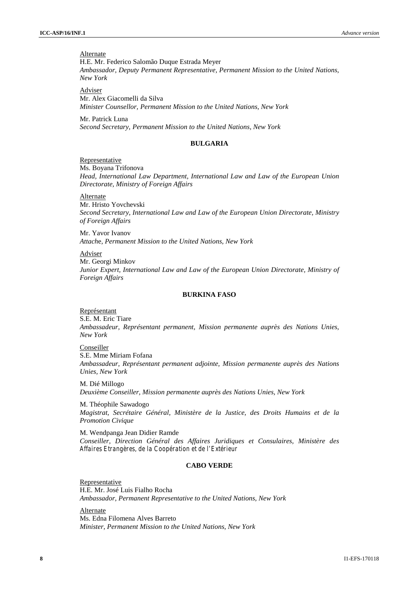## **Alternate**

H.E. Mr. Federico Salomão Duque Estrada Meyer *Ambassador, Deputy Permanent Representative, Permanent Mission to the United Nations, New York*

Adviser Mr. Alex Giacomelli da Silva *Minister Counsellor, Permanent Mission to the United Nations, New York*

Mr. Patrick Luna *Second Secretary, Permanent Mission to the United Nations, New York*

#### **BULGARIA**

#### Representative

Ms. Boyana Trifonova *Head, International Law Department, International Law and Law of the European Union Directorate, Ministry of Foreign Affairs*

Alternate

Mr. Hristo Yovchevski *Second Secretary, International Law and Law of the European Union Directorate, Ministry of Foreign Affairs*

Mr. Yavor Ivanov *Attach*e*, Permanent Mission to the United Nations, New York*

#### Adviser

Mr. Georgi Minkov *Junior Expert, International Law and Law of the European Union Directorate, Ministry of Foreign Affairs*

## **BURKINA FASO**

#### Représentant

S.E. M. Eric Tiare *Ambassadeur, Représentant permanent, Mission permanente auprès des Nations Unies, New York*

Conseiller

S.E. Mme Miriam Fofana *Ambassadeur, Représentant permanent adjointe, Mission permanente auprès des Nations Unies, New York*

M. Dié Millogo *Deuxième Conseiller, Mission permanente auprès des Nations Unies, New York*

M. Théophile Sawadogo *Magistrat, Secrétaire Général, Ministère de la Justice, des Droits Humains et de la Promotion Civique*

M. Wendpanga Jean Didier Ramde *Conseiller, Direction Général des Affaires Juridiques et Consulaires, Ministère des Affaires Etrangères, de la Coopération et de l'Extérieur*

## **CABO VERDE**

**Representative** H.E. Mr. José Luis Fialho Rocha *Ambassador, Permanent Representative to the United Nations, New York*

Alternate Ms. Edna Filomena Alves Barreto *Minister, Permanent Mission to the United Nations, New York*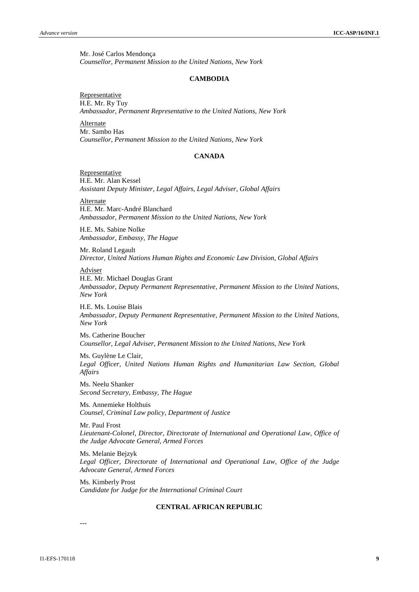Mr. José Carlos Mendonça *Counsellor, Permanent Mission to the United Nations, New York*

#### **CAMBODIA**

Representative H.E. Mr. Ry Tuy *Ambassador, Permanent Representative to the United Nations, New York*

Alternate Mr. Sambo Has *Counsellor, Permanent Mission to the United Nations, New York*

#### **CANADA**

Representative H.E. Mr. Alan Kessel *Assistant Deputy Minister, Legal Affairs, Legal Adviser, Global Affairs*

Alternate H.E. Mr. Marc-André Blanchard *Ambassador, Permanent Mission to the United Nations, New York*

H.E. Ms. Sabine Nolke *Ambassador, Embassy, The Hague*

Mr. Roland Legault *Director, United Nations Human Rights and Economic Law Division, Global Affairs*

Adviser

H.E. Mr. Michael Douglas Grant *Ambassador, Deputy Permanent Representative, Permanent Mission to the United Nations*, *New York*

H.E. Ms. Louise Blais *Ambassador, Deputy Permanent Representative, Permanent Mission to the United Nations, New York*

Ms. Catherine Boucher *Counsellor, Legal Adviser, Permanent Mission to the United Nations, New York*

Ms. Guylène Le Clair, *Legal Officer, United Nations Human Rights and Humanitarian Law Section, Global Affairs*

Ms. Neelu Shanker *Second Secretary, Embassy, The Hague*

Ms. Annemieke Holthuis *Counsel, Criminal Law policy, Department of Justice*

Mr. Paul Frost *Lieutenant-Colonel, Director, Directorate of International and Operational Law, Office of the Judge Advocate General, Armed Forces*

Ms. Melanie Bejzyk *Legal Officer, Directorate of International and Operational Law, Office of the Judge Advocate General, Armed Forces*

Ms. Kimberly Prost *Candidate for Judge for the International Criminal Court*

## **CENTRAL AFRICAN REPUBLIC**

#### ---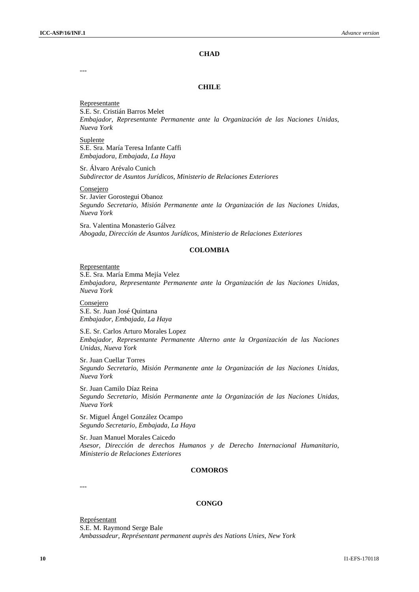## **CHAD**

---

#### **CHILE**

Representante S.E. Sr. Cristián Barros Melet *Embajador, Representante Permanente ante la Organización de las Naciones Unidas, Nueva York*

Suplente S.E. Sra. María Teresa Infante Caffi *Embajadora, Embajada, La Haya*

Sr. Álvaro Arévalo Cunich *Subdirector de Asuntos Jurídicos, Ministerio de Relaciones Exteriores*

Consejero

Sr. Javier Gorostegui Obanoz *Segundo Secretario, Misión Permanente ante la Organización de las Naciones Unidas, Nueva York*

Sra. Valentina Monasterio Gálvez *Abogada, Dirección de Asuntos Jurídicos, Ministerio de Relaciones Exteriores*

#### **COLOMBIA**

#### Representante

S.E. Sra. María Emma Mejía Velez *Embajadora, Representante Permanente ante la Organización de las Naciones Unidas, Nueva York*

Consejero S.E. Sr. Juan José Quintana *Embajador, Embajada, La Haya*

S.E. Sr. Carlos Arturo Morales Lopez *Embajador, Representante Permanente Alterno ante la Organización de las Naciones Unidas, Nueva York*

Sr. Juan Cuellar Torres *Segundo Secretario, Misión Permanente ante la Organización de las Naciones Unidas, Nueva York*

Sr. Juan Camilo Díaz Reina *Segundo Secretario, Misión Permanente ante la Organización de las Naciones Unidas, Nueva York*

Sr. Miguel Ángel González Ocampo *Segundo Secretario, Embajada, La Haya*

Sr. Juan Manuel Morales Caicedo *Asesor, Dirección de derechos Humanos y de Derecho Internacional Humanitario, Ministerio de Relaciones Exteriores*

## **COMOROS**

---

#### **CONGO**

Représentant S.E. M. Raymond Serge Bale *Ambassadeur, Représentant permanent auprès des Nations Unies, New York*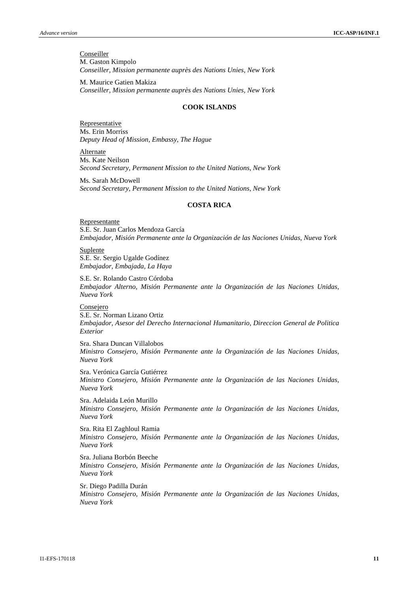#### **Conseiller** M. Gaston Kimpolo *Conseiller, Mission permanente auprès des Nations Unies, New York*

M. Maurice Gatien Makiza *Conseiller, Mission permanente auprès des Nations Unies, New York*

#### **COOK ISLANDS**

**Representative** Ms. Erin Morriss *Deputy Head of Mission, Embassy, The Hague*

Alternate Ms. Kate Neilson *Second Secretary, Permanent Mission to the United Nations, New York*

Ms. Sarah McDowell *Second Secretary, Permanent Mission to the United Nations, New York*

#### **COSTA RICA**

Representante S.E. Sr. Juan Carlos Mendoza García *Embajador, Misión Permanente ante la Organización de las Naciones Unidas, Nueva York*

**Suplente** S.E. Sr. Sergio Ugalde Godínez *Embajador, Embajada, La Haya*

S.E. Sr. Rolando Castro Córdoba *Embajador Alterno, Misión Permanente ante la Organización de las Naciones Unidas, Nueva York*

Consejero S.E. Sr. Norman Lizano Ortiz *Embajador, Asesor del Derecho Internacional Humanitario, Direccion General de Politica Exterior*

Sra. Shara Duncan Villalobos *Ministro Consejero, Misión Permanente ante la Organización de las Naciones Unidas, Nueva York*

Sra. Verónica García Gutiérrez *Ministro Consejero, Misión Permanente ante la Organización de las Naciones Unidas, Nueva York*

Sra. Adelaida León Murillo *Ministro Consejero, Misión Permanente ante la Organización de las Naciones Unidas, Nueva York*

Sra. Rita El Zaghloul Ramia *Ministro Consejero, Misión Permanente ante la Organización de las Naciones Unidas, Nueva York*

Sra. Juliana Borbón Beeche *Ministro Consejero, Misión Permanente ante la Organización de las Naciones Unidas, Nueva York*

Sr. Diego Padilla Durán *Ministro Consejero, Misión Permanente ante la Organización de las Naciones Unidas, Nueva York*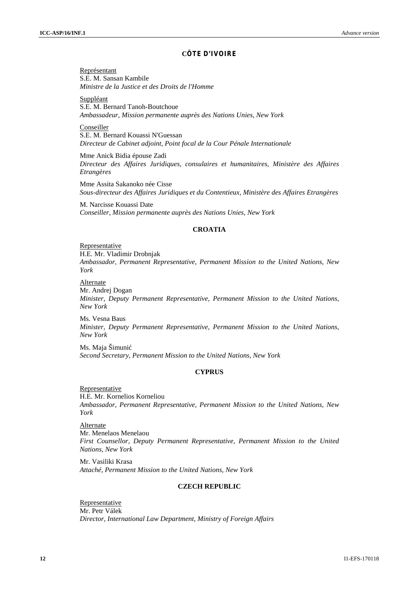#### **C TE D'IVOIRE**

Représentant S.E. M. Sansan Kambile *Ministre de la Justice et des Droits de l'Homme*

Suppléant S.E. M. Bernard Tanoh-Boutchoue *Ambassadeur, Mission permanente auprès des Nations Unies, New York*

Conseiller S.E. M. Bernard Kouassi N'Guessan *Directeur de Cabinet adjoint, Point focal de la Cour Pénale Internationale*

Mme Anick Bidia épouse Zadi *Directeur des Affaires Juridiques, consulaires et humanitaires, Ministère des Affaires Etrangères*

Mme Assita Sakanoko née Cisse *Sous-directeur des Affaires Juridiques et du Contentieux, Ministère des Affaires Etrangères*

M. Narcisse Kouassi Date *Conseiller, Mission permanente auprès des Nations Unies, New York*

## **CROATIA**

#### **Representative**

H.E. Mr. Vladimir Drobnjak

*Ambassador, Permanent Representative, Permanent Mission to the United Nations, New York*

Alternate

Mr. Andrej Dogan *Minister, Deputy Permanent Representative, Permanent Mission to the United Nations, New York*

Ms. Vesna Baus *Minister, Deputy Permanent Representative, Permanent Mission to the United Nations, New York*

Ms. Maja Šimunić *Second Secretary, Permanent Mission to the United Nations, New York*

## **CYPRUS**

Representative H.E. Mr. Kornelios Korneliou *Ambassador, Permanent Representative, Permanent Mission to the United Nations, New York*

**Alternate** Mr. Menelaos Menelaou *First Counsellor, Deputy Permanent Representative, Permanent Mission to the United Nations, New York*

Mr. Vasiliki Krasa *Attaché, Permanent Mission to the United Nations, New York*

## **CZECH REPUBLIC**

Representative Mr. Petr Válek *Director, International Law Department, Ministry of Foreign Affairs*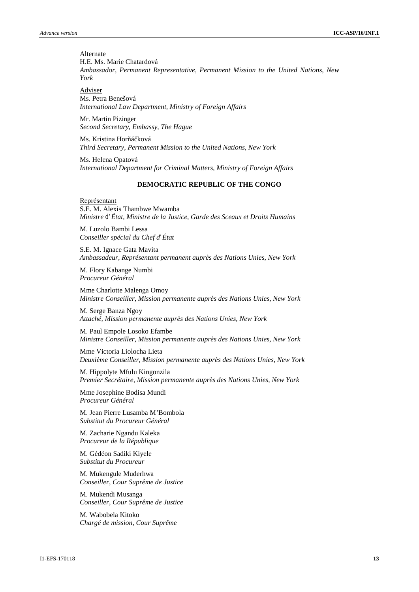**Alternate** H.E. Ms. Marie Chatardová *Ambassador, Permanent Representative, Permanent Mission to the United Nations, New York*

Adviser Ms. Petra Benešová *International Law Department, Ministry of Foreign Affairs*

Mr. Martin Pizinger *Second Secretary, Embassy, The Hague*

Ms. Kristina Horá ková *Third Secretary, Permanent Mission to the United Nations, New York*

Ms. Helena Opatová *International Department for Criminal Matters, Ministry of Foreign Affairs*

#### **DEMOCRATIC REPUBLIC OF THE CONGO**

Représentant S.E. M. Alexis Thambwe Mwamba *Ministre d'État, Ministre de la Justice, Garde des Sceaux et Droits Humains*

M. Luzolo Bambi Lessa *Conseiller spécial du Chef d'État*

S.E. M. Ignace Gata Mavita *Ambassadeur, Représentant permanent auprès des Nations Unies, New York*

M. Flory Kabange Numbi *Procureur Général*

Mme Charlotte Malenga Omoy *Ministre Conseiller, Mission permanente auprès des Nations Unies, New York*

M. Serge Banza Ngoy *Attaché, Mission permanente auprès des Nations Unies, New York*

M. Paul Empole Losoko Efambe *Ministre Conseiller, Mission permanente auprès des Nations Unies, New York*

Mme Victoria Liolocha Lieta *Deuxième Conseiller, Mission permanente auprès des Nations Unies, New York*

M. Hippolyte Mfulu Kingonzila *Premier Secrétaire, Mission permanente auprès des Nations Unies, New York*

Mme Josephine Bodisa Mundi *Procureur Général*

M. Jean Pierre Lusamba M'Bombola *Substitut du Procureur Général*

M. Zacharie Ngandu Kaleka *Procureur de la République*

M. Gédéon Sadiki Kiyele *Substitut du Procureur*

M. Mukengule Muderhwa *Conseiller, Cour Suprême de Justice*

M. Mukendi Musanga *Conseiller, Cour Suprême de Justice*

M. Wabobela Kitoko *Chargé de mission, Cour Suprême*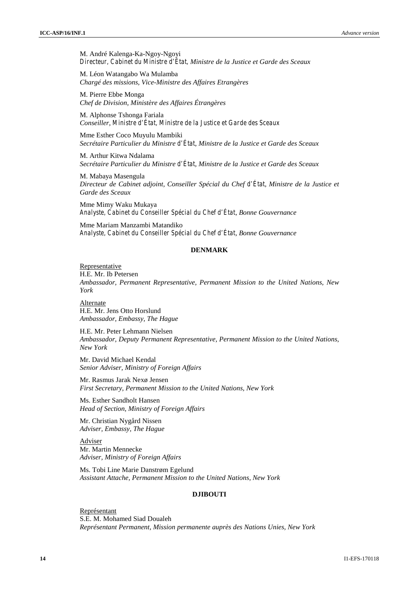M. André Kalenga-Ka-Ngoy-Ngoyi *Directeur, Cabinet du Ministre d'État, Ministre de la Justice et Garde des Sceaux*

M. Léon Watangabo Wa Mulamba *Chargé des missions, Vice-Ministre des Affaires Etrangères*

M. Pierre Ebbe Monga *Chef de Division, Ministère des Affaires Étrangères*

M. Alphonse Tshonga Fariala *Conseiller, Ministre d'État, Ministre de la Justice et Garde des Sceaux*

Mme Esther Coco Muyulu Mambiki *Secrétaire Particulier du Ministre d'État, Ministre de la Justice et Garde des Sceaux*

M. Arthur Kitwa Ndalama *Secrétaire Particulier du Ministre d'État, Ministre de la Justice et Garde des Sceaux*

M. Mabaya Masengula *Directeur de Cabinet adjoint, Conseiller Spécial du Chef d'État, Ministre de la Justice et Garde des Sceaux*

Mme Mimy Waku Mukaya *Analyste, Cabinet du Conseiller Spécial du Chef d'État, Bonne Gouvernance*

Mme Mariam Manzambi Matandiko *Analyste, Cabinet du Conseiller Spécial du Chef d'État, Bonne Gouvernance*

## **DENMARK**

#### Representative

H.E. Mr. Ib Petersen

*Ambassador, Permanent Representative, Permanent Mission to the United Nations, New York*

**Alternate** H.E. Mr. Jens Otto Horslund *Ambassador, Embassy, The Hague*

H.E. Mr. Peter Lehmann Nielsen *Ambassador, Deputy Permanent Representative, Permanent Mission to the United Nations, New York*

Mr. David Michael Kendal *Senior Adviser, Ministry of Foreign Affairs*

Mr. Rasmus Jarak Nexø Jensen *First Secretary, Permanent Mission to the United Nations, New York*

Ms. Esther Sandholt Hansen *Head of Section, Ministry of Foreign Affairs*

Mr. Christian Nygård Nissen *Adviser, Embassy, The Hague*

Adviser Mr. Martin Mennecke *Adviser, Ministry of Foreign Affairs*

Ms. Tobi Line Marie Danstrøm Egelund *Assistant Attache, Permanent Mission to the United Nations, New York*

## **DJIBOUTI**

Représentant S.E. M. Mohamed Siad Doualeh *Représentant Permanent, Mission permanente auprès des Nations Unies, New York*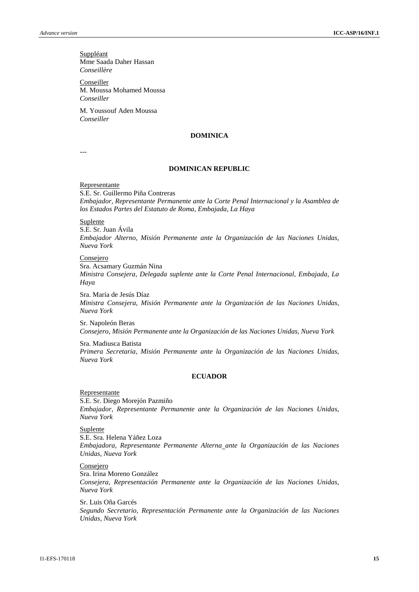**Suppléant** Mme Saada Daher Hassan *Conseillère*

Conseiller M. Moussa Mohamed Moussa *Conseiller*

M. Youssouf Aden Moussa *Conseiller*

#### **DOMINICA**

---

## **DOMINICAN REPUBLIC**

Representante

S.E. Sr. Guillermo Piña Contreras *Embajador, Representante Permanente ante la Corte Penal Internacional y la Asamblea de los Estados Partes del Estatuto de Roma, Embajada, La Haya*

**Suplente** 

S.E. Sr. Juan Ávila *Embajador Alterno, Misión Permanente ante la Organización de las Naciones Unidas, Nueva York*

Consejero Sra. Acsamary Guzmán Nina *Ministra Consejera, Delegada suplente ante la Corte Penal Internacional, Embajada, La Haya*

Sra. María de Jesús Díaz *Ministra Consejera, Misión Permanente ante la Organización de las Naciones Unidas, Nueva York*

Sr. Napoleón Beras *Consejero, Misión Permanente ante la Organización de las Naciones Unidas, Nueva York*

Sra. Madiusca Batista *Primera Secretaria, Misión Permanente ante la Organización de las Naciones Unidas, Nueva York*

## **ECUADOR**

Representante

S.E. Sr. Diego Morejón Pazmiño *Embajador, Representante Permanente ante la Organización de las Naciones Unidas, Nueva York*

Suplente

S.E. Sra. Helena Yáñez Loza *Embajadora, Representante Permanente Alterna ante la Organización de las Naciones Unidas, Nueva York*

Consejero

Sra. Irina Moreno González

*Consejera, Representación Permanente ante la Organización de las Naciones Unidas, Nueva York*

Sr. Luis Oña Garcés

*Segundo Secretario, Representación Permanente ante la Organización de las Naciones Unidas, Nueva York*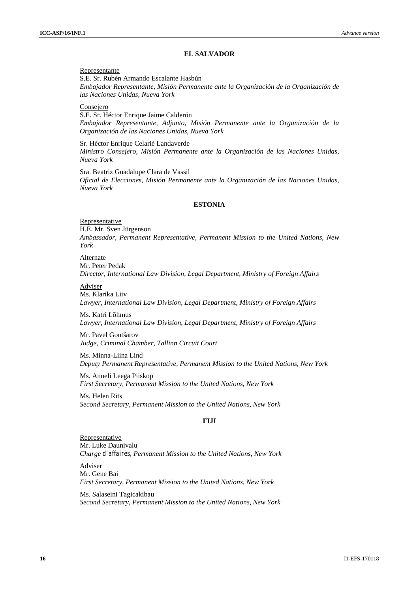#### **EL SALVADOR**

#### Representante

S.E. Sr. Rubén Armando Escalante Hasbún *Embajador Representante, Misión Permanente ante la Organización de la Organización de las Naciones Unidas, Nueva York*

Consejero

S.E. Sr. Héctor Enrique Jaime Calderón *Embajador Representante, Adjunto, Misión Permanente ante la Organización de la Organización de las Naciones Unidas, Nueva York*

Sr. Héctor Enrique Celarié Landaverde *Ministro Consejero, Misión Permanente ante la Organización de las Naciones Unidas, Nueva York*

Sra. Beatriz Guadalupe Clara de Vassil *Oficial de Elecciones, Misión Permanente ante la Organización de las Naciones Unidas, Nueva York*

## **ESTONIA**

Representative H.E. Mr. Sven Jürgenson *Ambassador, Permanent Representative, Permanent Mission to the United Nations, New York*

Alternate Mr. Peter Pedak *Director, International Law Division, Legal Department, Ministry of Foreign Affairs*

Adviser

Ms. Klarika Liiv *Lawyer, International Law Division, Legal Department, Ministry of Foreign Affairs*

Ms. Katri Lõhmus *Lawyer, International Law Division, Legal Department, Ministry of Foreign Affairs*

Mr. Pavel Gontšarov *Judge, Criminal Chamber, Tallinn Circuit Court*

Ms. Minna-Liina Lind *Deputy Permanent Representative, Permanent Mission to the United Nations, New York*

Ms. Anneli Leega Piiskop *First Secretary, Permanent Mission to the United Nations, New York*

Ms. Helen Rits *Second Secretary, Permanent Mission to the United Nations, New York*

#### **FIJI**

Representative Mr. Luke Daunivalu *Charge d'affaires, Permanent Mission to the United Nations, New York*

Adviser Mr. Gene Bai *First Secretary, Permanent Mission to the United Nations, New York*

Ms. Salaseini Tagicakibau *Second Secretary, Permanent Mission to the United Nations, New York*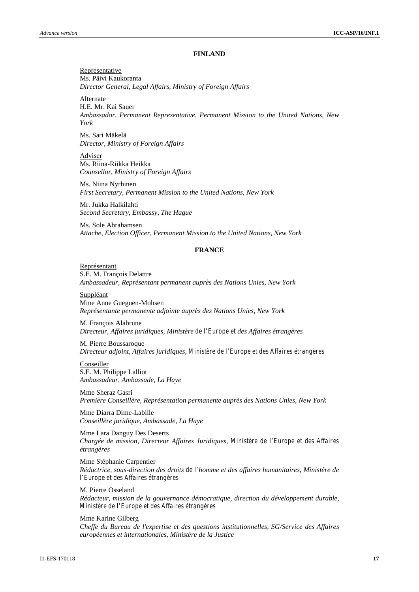#### **FINLAND**

Representative Ms. Päivi Kaukoranta *Director General, Legal Affairs, Ministry of Foreign Affairs*

Alternate

H.E. Mr. Kai Sauer

*Ambassador, Permanent Representative, Permanent Mission to the United Nations, New York*

Ms. Sari Mäkelä *Director, Ministry of Foreign Affairs*

Adviser Ms. Riina-Riikka Heikka *Counsellor, Ministry of Foreign Affairs*

Ms. Niina Nyrhinen *First Secretary, Permanent Mission to the United Nations, New York*

Mr. Jukka Halkilahti *Second Secretary, Embassy, The Hague*

Ms. Sole Abrahamsen *Attache, Election Officer, Permanent Mission to the United Nations, New York*

## **FRANCE**

#### Représentant S.E. M. François Delattre

*Ambassadeur, Représentant permanent auprès des Nations Unies, New York*

Suppléant Mme Anne Gueguen-Mohsen *Représentante permanente adjointe auprès des Nations Unies, New York*

M. François Alabrune *Directeur, Affaires juridiques, Ministère de l'Europe et des Affaires étrangères*

M. Pierre Boussaroque *Directeur adjoint, Affaires juridiques, Ministère de l'Europe et des Affaires étrangères*

#### **Conseiller**

S.E. M. Philippe Lalliot *Ambassadeur, Ambassade, La Haye*

Mme Sheraz Gasri *Première Conseillère, Représentation permanente auprès des Nations Unies, New York*

Mme Diarra Dime-Labille *Conseillère juridique, Ambassade, La Haye*

Mme Lara Danguy Des Deserts *Chargée de mission, Directeur Affaires Juridiques, Ministère de l'Europe et des Affaires étrangères*

Mme Stéphanie Carpentier *Rédactrice, sous-direction des droits de l'homme et des affaires humanitaires, Ministère de l'Europe et des Affaires étrangères*

M. Pierre Osseland *Rédacteur, mission de la gouvernance démocratique, direction du développement durable, Ministère de l'Europe et des Affaires étrangères*

Mme Karine Gilberg *Cheffe du Bureau de l'expertise et des questions institutionnelles, SG/Service des Affaires européennes et internationales, Ministère de la Justice*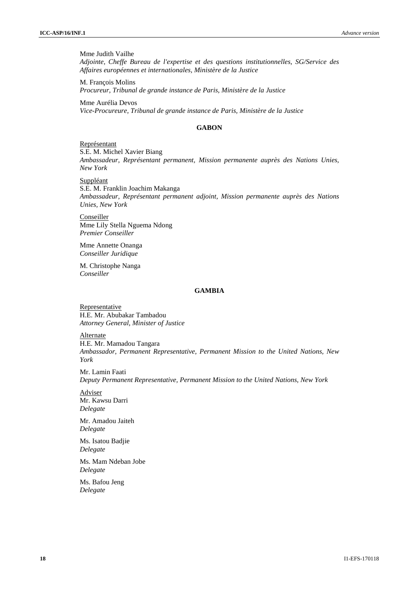Mme Judith Vailhe *Adjointe, Cheffe Bureau de l'expertise et des questions institutionnelles, SG/Service des Affaires européennes et internationales, Ministère de la Justice*

M. François Molins *Procureur, Tribunal de grande instance de Paris, Ministère de la Justice*

Mme Aurélia Devos *Vice-Procureure, Tribunal de grande instance de Paris, Ministère de la Justice*

## **GABON**

Représentant S.E. M. Michel Xavier Biang *Ambassadeur, Représentant permanent, Mission permanente auprès des Nations Unies, New York*

**Suppléant** S.E. M. Franklin Joachim Makanga *Ambassadeur, Représentant permanent adjoint, Mission permanente auprès des Nations Unies, New York*

Conseiller Mme Lily Stella Nguema Ndong *Premier Conseiller*

Mme Annette Onanga *Conseiller Juridique*

M. Christophe Nanga *Conseiller*

## **GAMBIA**

**Representative** H.E. Mr. Abubakar Tambadou *Attorney General, Minister of Justice*

**Alternate** 

H.E. Mr. Mamadou Tangara *Ambassador, Permanent Representative, Permanent Mission to the United Nations, New York*

Mr. Lamin Faati *Deputy Permanent Representative, Permanent Mission to the United Nations, New York*

Adviser Mr. Kawsu Darri *Delegate*

Mr. Amadou Jaiteh *Delegate*

Ms. Isatou Badjie *Delegate*

Ms. Mam Ndeban Jobe *Delegate*

Ms. Bafou Jeng *Delegate*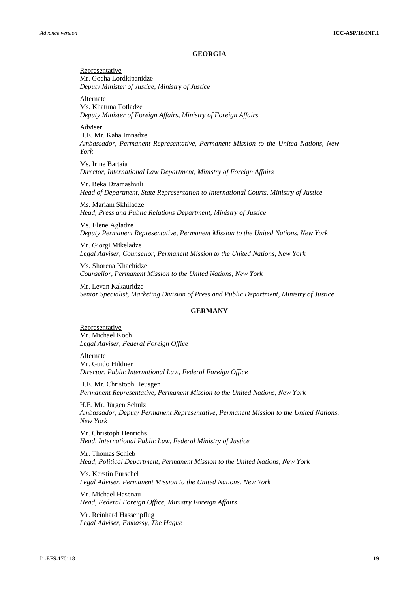#### **GEORGIA**

Representative Mr. Gocha Lordkipanidze *Deputy Minister of Justice, Ministry of Justice*

Alternate Ms. Khatuna Totladze *Deputy Minister of Foreign Affairs, Ministry of Foreign Affairs*

Adviser

H.E. Mr. Kaha Imnadze *Ambassador, Permanent Representative, Permanent Mission to the United Nations, New York*

Ms. Irine Bartaia *Director, International Law Department, Ministry of Foreign Affairs*

Mr. Beka Dzamashvili *Head of Department, State Representation to International Courts, Ministry of Justice*

Ms. Maríam Skhiladze *Head, Press and Public Relations Department, Ministry of Justice*

Ms. Elene Agladze *Deputy Permanent Representative, Permanent Mission to the United Nations, New York*

Mr. Giorgi Mikeladze *Legal Adviser, Counsellor, Permanent Mission to the United Nations, New York*

Ms. Shorena Khachidze *Counsellor, Permanent Mission to the United Nations, New York*

Mr. Levan Kakauridze *Senior Specialist, Marketing Division of Press and Public Department, Ministry of Justice*

#### **GERMANY**

Representative Mr. Michael Koch *Legal Adviser, Federal Foreign Office*

Alternate Mr. Guido Hildner *Director, Public International Law, Federal Foreign Office*

H.E. Mr. Christoph Heusgen *Permanent Representative, Permanent Mission to the United Nations, New York*

H.E. Mr. Jürgen Schulz *Ambassador, Deputy Permanent Representative, Permanent Mission to the United Nations, New York*

Mr. Christoph Henrichs *Head, International Public Law, Federal Ministry of Justice*

Mr. Thomas Schieb *Head, Political Department, Permanent Mission to the United Nations, New York*

Ms. Kerstin Pürschel *Legal Adviser, Permanent Mission to the United Nations, New York*

Mr. Michael Hasenau *Head, Federal Foreign Office, Ministry Foreign Affairs*

Mr. Reinhard Hassenpflug *Legal Adviser, Embassy, The Hague*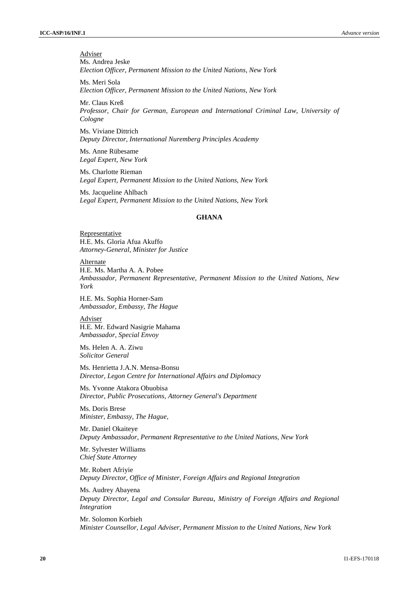Adviser Ms. Andrea Jeske *Election Officer, Permanent Mission to the United Nations, New York*

Ms. Meri Sola *Election Officer, Permanent Mission to the United Nations, New York*

Mr. Claus Kreß *Professor, Chair for German, European and International Criminal Law, University of Cologne*

Ms. Viviane Dittrich *Deputy Director, International Nuremberg Principles Academy*

Ms. Anne Rübesame *Legal Expert, New York*

Ms. Charlotte Rieman *Legal Expert, Permanent Mission to the United Nations, New York*

Ms. Jacqueline Ahlbach *Legal Expert, Permanent Mission to the United Nations, New York*

#### **GHANA**

Representative H.E. Ms. Gloria Afua Akuffo *Attorney-General, Minister for Justice*

Alternate H.E. Ms. Martha A. A. Pobee *Ambassador, Permanent Representative, Permanent Mission to the United Nations, New York*

H.E. Ms. Sophia Horner-Sam *Ambassador, Embassy, The Hague*

Adviser H.E. Mr. Edward Nasigrie Mahama *Ambassador, Special Envoy*

Ms. Helen A. A. Ziwu *Solicitor General*

Ms. Henrietta J.A.N. Mensa-Bonsu *Director, Legon Centre for International Affairs and Diplomacy*

Ms. Yvonne Atakora Obuobisa *Director, Public Prosecutions, Attorney General's Department*

Ms. Doris Brese *Minister, Embassy, The Hague,*

Mr. Daniel Okaiteye *Deputy Ambassador, Permanent Representative to the United Nations, New York*

Mr. Sylvester Williams *Chief State Attorney*

Mr. Robert Afriyie *Deputy Director, Office of Minister, Foreign Affairs and Regional Integration*

Ms. Audrey Abayena *Deputy Director, Legal and Consular Bureau*, *Ministry of Foreign Affairs and Regional Integration*

Mr. Solomon Korbieh *Minister Counsellor, Legal Adviser, Permanent Mission to the United Nations, New York*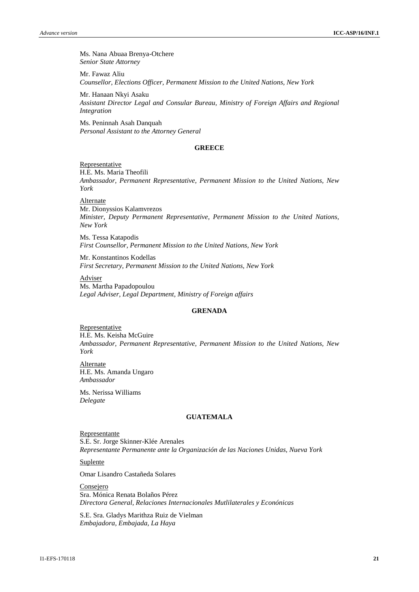Ms. Nana Abuaa Brenya-Otchere *Senior State Attorney*

Mr. Fawaz Aliu *Counsellor, Elections Officer, Permanent Mission to the United Nations, New York*

Mr. Hanaan Nkyi Asaku *Assistant Director Legal and Consular Bureau, Ministry of Foreign Affairs and Regional Integration*

Ms. Peninnah Asah Danquah *Personal Assistant to the Attorney General*

#### **GREECE**

#### Representative

H.E. Ms. Maria Theofili

*Ambassador, Permanent Representative, Permanent Mission to the United Nations, New York*

Alternate

Mr. Dionyssios Kalamvrezos *Minister, Deputy Permanent Representative, Permanent Mission to the United Nations, New York*

Ms. Tessa Katapodis *First Counsellor, Permanent Mission to the United Nations, New York*

Mr. Konstantinos Kodellas *First Secretary, Permanent Mission to the United Nations, New York*

Adviser Ms. Martha Papadopoulou *Legal Adviser, Legal Department, Ministry of Foreign affairs*

## **GRENADA**

Representative H.E. Ms. Keisha McGuire *Ambassador, Permanent Representative, Permanent Mission to the United Nations, New York*

**Alternate** H.E. Ms. Amanda Ungaro *Ambassador*

Ms. Nerissa Williams *Delegate*

## **GUATEMALA**

Representante S.E. Sr. Jorge Skinner-Klée Arenales *Representante Permanente ante la Organización de las Naciones Unidas, Nueva York*

## Suplente

Omar Lisandro Castañeda Solares

**Consejero** Sra. Mónica Renata Bolaños Pérez *Directora General, Relaciones Internacionales Mutlilaterales y Econónicas*

S.E. Sra. Gladys Marithza Ruiz de Vielman *Embajadora, Embajada, La Haya*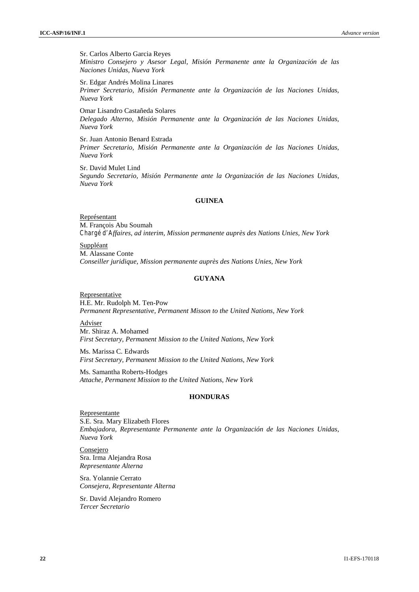Sr. Carlos Alberto Garcia Reyes *Ministro Consejero y Asesor Legal, Misión Permanente ante la Organización de las Naciones Unidas, Nueva York*

Sr. Edgar Andrés Molina Linares *Primer Secretario, Misión Permanente ante la Organización de las Naciones Unidas, Nueva York*

Omar Lisandro Castañeda Solares *Delegado Alterno, Misión Permanente ante la Organización de las Naciones Unidas, Nueva York*

Sr. Juan Antonio Benard Estrada *Primer Secretario, Misión Permanente ante la Organización de las Naciones Unidas, Nueva York*

Sr. David Mulet Lind *Segundo Secretario, Misión Permanente ante la Organización de las Naciones Unidas, Nueva York*

#### **GUINEA**

Représentant M. François Abu Soumah *Chargé d'Affaires, ad interim, Mission permanente auprès des Nations Unies, New York*

Suppléant M. Alassane Conte *Conseiller juridique, Mission permanente auprès des Nations Unies, New York*

#### **GUYANA**

Representative H.E. Mr. Rudolph M. Ten-Pow *Permanent Representative, Permanent Misson to the United Nations, New York*

Adviser Mr. Shiraz A. Mohamed *First Secretary, Permanent Mission to the United Nations, New York*

Ms. Marissa C. Edwards *First Secretary, Permanent Mission to the United Nations, New York*

Ms. Samantha Roberts-Hodges *Attache, Permanent Mission to the United Nations, New York*

## **HONDURAS**

Representante S.E. Sra. Mary Elizabeth Flores *Embajadora, Representante Permanente ante la Organización de las Naciones Unidas, Nueva York*

Consejero Sra. Irma Alejandra Rosa *Representante Alterna*

Sra. Yolannie Cerrato *Consejera, Representante Alterna*

Sr. David Alejandro Romero *Tercer Secretario*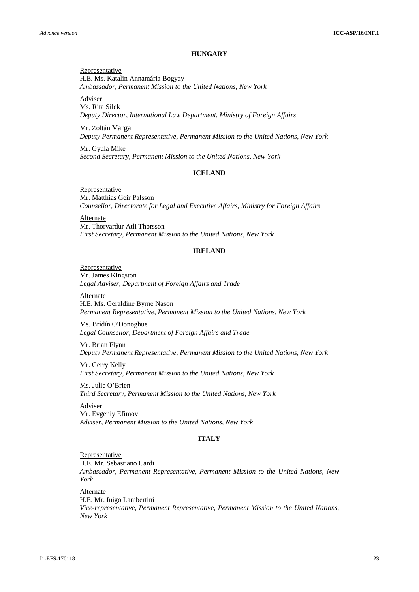#### **HUNGARY**

Representative H.E. Ms. Katalin Annamária Bogyay *Ambassador, Permanent Mission to the United Nations, New York*

Adviser Ms. Rita Silek *Deputy Director, International Law Department, Ministry of Foreign Affairs*

Mr. Zoltán Varga *Deputy Permanent Representative, Permanent Mission to the United Nations, New York*

Mr. Gyula Mike *Second Secretary, Permanent Mission to the United Nations, New York*

## **ICELAND**

Representative Mr. Matthias Geir Palsson *Counsellor, Directorate for Legal and Executive Affairs, Ministry for Foreign Affairs*

Alternate Mr. Thorvardur Atli Thorsson *First Secretary, Permanent Mission to the United Nations, New York*

#### **IRELAND**

Representative Mr. James Kingston *Legal Adviser, Department of Foreign Affairs and Trade*

**Alternate** H.E. Ms. Geraldine Byrne Nason *Permanent Representative, Permanent Mission to the United Nations, New York*

Ms. Brídín O'Donoghue *Legal Counsellor, Department of Foreign Affairs and Trade*

Mr. Brian Flynn *Deputy Permanent Representative, Permanent Mission to the United Nations, New York*

Mr. Gerry Kelly *First Secretary, Permanent Mission to the United Nations, New York*

Ms. Julie O'Brien *Third Secretary, Permanent Mission to the United Nations, New York*

Adviser Mr. Evgeniy Efimov *Adviser, Permanent Mission to the United Nations, New York*

#### **ITALY**

Representative H.E. Mr. Sebastiano Cardi *Ambassador, Permanent Representative, Permanent Mission to the United Nations, New York*

Alternate H.E. Mr. Inigo Lambertini *Vice-representative, Permanent Representative, Permanent Mission to the United Nations, New York*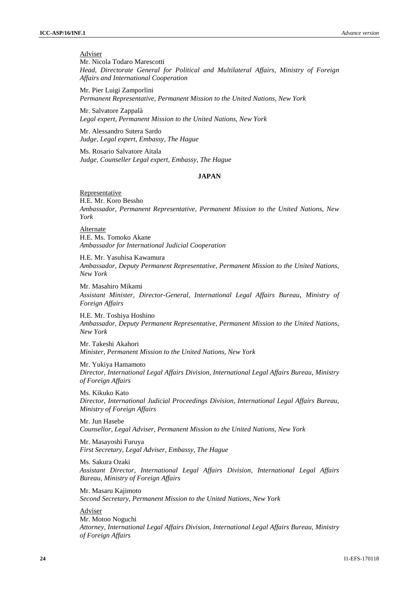#### Adviser

Mr. Nicola Todaro Marescotti *Head, Directorate General for Political and Multilateral Affairs, Ministry of Foreign Affairs and International Cooperation*

Mr. Pier Luigi Zamporlini *Permanent Representative, Permanent Mission to the United Nations, New York*

Mr. Salvatore Zappalà *Legal expert, Permanent Mission to the United Nations, New York*

Mr. Alessandro Sutera Sardo *Judge, Legal expert, Embassy, The Hague*

Ms. Rosario Salvatore Aitala *Judge, Counseller Legal expert, Embassy, The Hague*

## **JAPAN**

Representative H.E. Mr. Koro Bessho *Ambassador, Permanent Representative, Permanent Mission to the United Nations, New York*

Alternate H.E. Ms. Tomoko Akane *Ambassador for International Judicial Cooperation*

H.E. Mr. Yasuhisa Kawamura *Ambassador, Deputy Permanent Representative, Permanent Mission to the United Nations, New York*

Mr. Masahiro Mikami

*Assistant Minister, Director-General, International Legal Affairs Bureau*, *Ministry of Foreign Affairs*

H.E. Mr. Toshiya Hoshino *Ambassador, Deputy Permanent Representative, Permanent Mission to the United Nations, New York*

Mr. Takeshi Akahori *Minister, Permanent Mission to the United Nations, New York*

Mr. Yukiya Hamamoto *Director, International Legal Affairs Division, International Legal Affairs Bureau, Ministry of Foreign Affairs*

Ms. Kikuko Kato *Director, International Judicial Proceedings Division, International Legal Affairs Bureau, Ministry of Foreign Affairs*

Mr. Jun Hasebe *Counsellor, Legal Adviser, Permanent Mission to the United Nations, New York*

Mr. Masayoshi Furuya *First Secretary, Legal Adviser, Embassy, The Hague*

Ms. Sakura Ozaki *Assistant Director, International Legal Affairs Division, International Legal Affairs Bureau, Ministry of Foreign Affairs*

Mr. Masaru Kajimoto *Second Secretary, Permanent Mission to the United Nations, New York*

Adviser Mr. Motoo Noguchi *Attorney, International Legal Affairs Division, International Legal Affairs Bureau, Ministry of Foreign Affairs*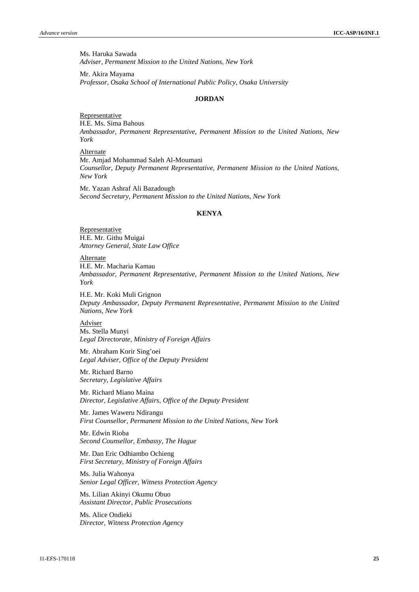Ms. Haruka Sawada *Adviser, Permanent Mission to the United Nations, New York*

Mr. Akira Mayama *Professor, Osaka School of International Public Policy, Osaka University*

## **JORDAN**

Representative H.E. Ms. Sima Bahous *Ambassador, Permanent Representative, Permanent Mission to the United Nations, New York*

Alternate Mr. Amjad Mohammad Saleh Al-Moumani *Counsellor, Deputy Permanent Representative, Permanent Mission to the United Nations, New York*

Mr. Yazan Ashraf Ali Bazadough *Second Secretary, Permanent Mission to the United Nations, New York*

#### **KENYA**

Representative H.E. Mr. Githu Muigai *Attorney General, State Law Office*

Alternate H.E. Mr. Macharia Kamau *Ambassador, Permanent Representative, Permanent Mission to the United Nations, New York*

H.E. Mr. Koki Muli Grignon *Deputy Ambassador, Deputy Permanent Representative, Permanent Mission to the United Nations, New York*

Adviser Ms. Stella Munyi *Legal Directorate, Ministry of Foreign Affairs*

Mr. Abraham Korir Sing'oei *Legal Adviser, Office of the Deputy President*

Mr. Richard Barno *Secretary, Legislative Affairs*

Mr. Richard Miano Maina *Director, Legislative Affairs, Office of the Deputy President*

Mr. James Waweru Ndirangu *First Counsellor, Permanent Mission to the United Nations, New York*

Mr. Edwin Rioba *Second Counsellor, Embassy, The Hague*

Mr. Dan Eric Odhiambo Ochieng *First Secretary, Ministry of Foreign Affairs*

Ms. Julia Wahonya *Senior Legal Officer, Witness Protection Agency*

Ms. Lilian Akinyi Okumu Obuo *Assistant Director, Public Prosecutions*

Ms. Alice Ondieki *Director, Witness Protection Agency*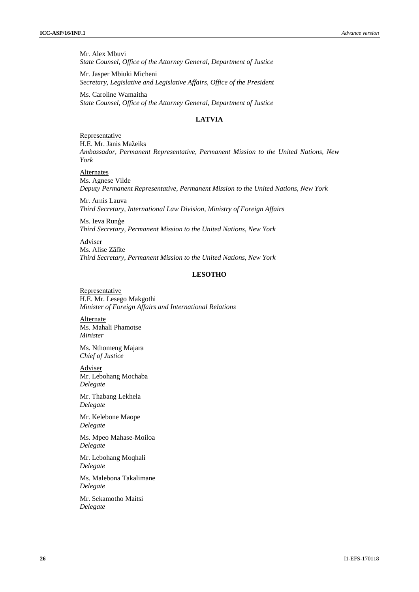Mr. Alex Mbuvi *State Counsel, Office of the Attorney General, Department of Justice*

Mr. Jasper Mbiuki Micheni *Secretary, Legislative and Legislative Affairs, Office of the President*

Ms. Caroline Wamaitha *State Counsel, Office of the Attorney General, Department of Justice*

## **LATVIA**

Representative H.E. Mr. J nis Mažeiks *Ambassador, Permanent Representative, Permanent Mission to the United Nations, New York*

Alternates Ms. Agnese Vilde *Deputy Permanent Representative, Permanent Mission to the United Nations, New York*

Mr. Arnis Lauva *Third Secretary, International Law Division, Ministry of Foreign Affairs*

Ms. Ieva Rune *Third Secretary, Permanent Mission to the United Nations, New York*

Adviser Ms. Alise Z 1 te *Third Secretary, Permanent Mission to the United Nations, New York*

## **LESOTHO**

Representative H.E. Mr. Lesego Makgothi *Minister of Foreign Affairs and International Relations*

Alternate Ms. Mahali Phamotse *Minister*

Ms. Nthomeng Majara *Chief of Justice*

Adviser Mr. Lebohang Mochaba *Delegate*

Mr. Thabang Lekhela *Delegate*

Mr. Kelebone Maope *Delegate*

Ms. Mpeo Mahase-Moiloa *Delegate*

Mr. Lebohang Moqhali *Delegate*

Ms. Malebona Takalimane *Delegate*

Mr. Sekamotho Maitsi *Delegate*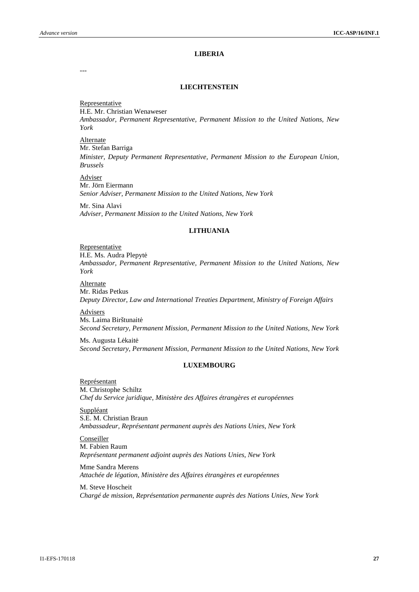#### **LIBERIA**

---

#### **LIECHTENSTEIN**

**Representative** H.E. Mr. Christian Wenaweser *Ambassador, Permanent Representative, Permanent Mission to the United Nations, New York*

Alternate Mr. Stefan Barriga *Minister, Deputy Permanent Representative, Permanent Mission to the European Union, Brussels*

Adviser Mr. Jörn Eiermann *Senior Adviser, Permanent Mission to the United Nations, New York*

Mr. Sina Alavi *Adviser, Permanent Mission to the United Nations, New York*

#### **LITHUANIA**

Representative

H.E. Ms. Audra Plepyt

*Ambassador, Permanent Representative, Permanent Mission to the United Nations, New York*

Alternate Mr. Ridas Petkus *Deputy Director, Law and International Treaties Department, Ministry of Foreign Affairs*

Advisers Ms. Laima Birštunait *Second Secretary, Permanent Mission, Permanent Mission to the United Nations, New York*

Ms. Augusta L kait *Second Secretary, Permanent Mission, Permanent Mission to the United Nations, New York*

#### **LUXEMBOURG**

Représentant M. Christophe Schiltz *Chef du Service juridique, Ministère des Affaires étrangères et européennes*

Suppléant S.E. M. Christian Braun *Ambassadeur, Représentant permanent auprès des Nations Unies, New York*

Conseiller M. Fabien Raum *Représentant permanent adjoint auprès des Nations Unies, New York*

Mme Sandra Merens *Attachée de légation, Ministère des Affaires étrangères et européennes*

M. Steve Hoscheit *Chargé de mission, Représentation permanente auprès des Nations Unies, New York*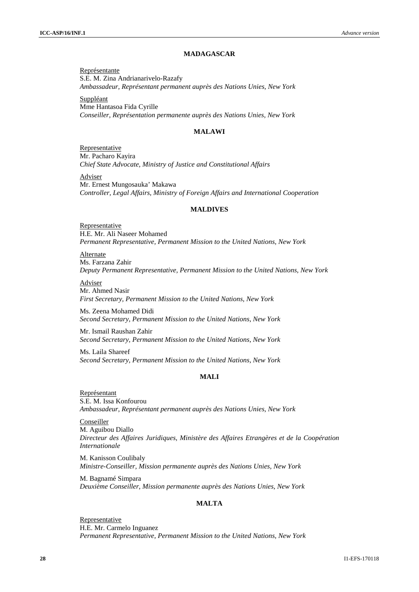#### **MADAGASCAR**

Représentante S.E. M. Zina Andrianarivelo-Razafy *Ambassadeur, Représentant permanent auprès des Nations Unies, New York*

Suppléant Mme Hantasoa Fida Cyrille *Conseiller, Représentation permanente auprès des Nations Unies, New York*

#### **MALAWI**

Representative Mr. Pacharo Kayira *Chief State Advocate, Ministry of Justice and Constitutional Affairs*

Adviser Mr. Ernest Mungosauka' Makawa *Controller, Legal Affairs, Ministry of Foreign Affairs and International Cooperation*

#### **MALDIVES**

Representative H.E. Mr. Ali Naseer Mohamed *Permanent Representative, Permanent Mission to the United Nations, New York*

Alternate Ms. Farzana Zahir *Deputy Permanent Representative, Permanent Mission to the United Nations, New York*

Adviser

Mr. Ahmed Nasir *First Secretary, Permanent Mission to the United Nations, New York*

Ms. Zeena Mohamed Didi *Second Secretary, Permanent Mission to the United Nations, New York*

Mr. Ismail Raushan Zahir *Second Secretary, Permanent Mission to the United Nations, New York*

Ms. Laila Shareef *Second Secretary, Permanent Mission to the United Nations, New York*

#### **MALI**

Représentant S.E. M. Issa Konfourou *Ambassadeur, Représentant permanent auprès des Nations Unies, New York*

Conseiller M. Aguibou Diallo *Directeur des Affaires Juridiques, Ministère des Affaires Etrangères et de la Coopération Internationale*

M. Kanisson Coulibaly *Ministre-Conseiller, Mission permanente auprès des Nations Unies, New York*

M. Bagnamé Simpara *Deuxième Conseiller, Mission permanente auprès des Nations Unies, New York*

## **MALTA**

Representative H.E. Mr. Carmelo Inguanez *Permanent Representative, Permanent Mission to the United Nations, New York*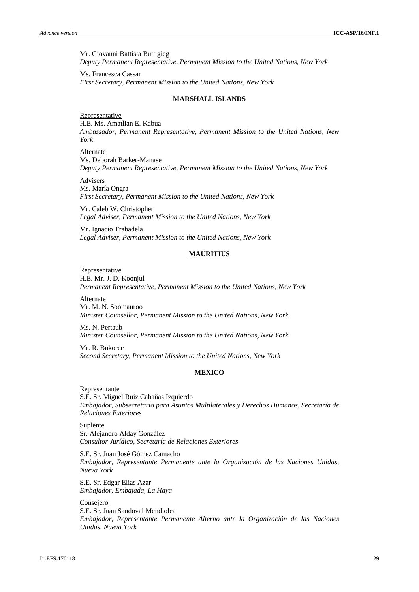Mr. Giovanni Battista Buttigieg *Deputy Permanent Representative, Permanent Mission to the United Nations, New York*

Ms. Francesca Cassar *First Secretary, Permanent Mission to the United Nations, New York*

#### **MARSHALL ISLANDS**

Representative H.E. Ms. Amatlian E. Kabua *Ambassador, Permanent Representative, Permanent Mission to the United Nations, New York*

Alternate Ms. Deborah Barker-Manase *Deputy Permanent Representative, Permanent Mission to the United Nations, New York*

Advisers

Ms. María Ongra *First Secretary, Permanent Mission to the United Nations, New York*

Mr. Caleb W. Christopher *Legal Adviser, Permanent Mission to the United Nations, New York*

Mr. Ignacio Trabadela *Legal Adviser, Permanent Mission to the United Nations, New York*

#### **MAURITIUS**

Representative H.E. Mr. J. D. Koonjul *Permanent Representative, Permanent Mission to the United Nations, New York*

Alternate Mr. M. N. Soomauroo *Minister Counsellor, Permanent Mission to the United Nations, New York*

Ms. N. Pertaub *Minister Counsellor, Permanent Mission to the United Nations, New York*

Mr. R. Bukoree *Second Secretary, Permanent Mission to the United Nations, New York*

## **MEXICO**

Representante S.E. Sr. Miguel Ruiz Cabañas Izquierdo *Embajador, Subsecretario para Asuntos Multilaterales y Derechos Humanos, Secretaría de Relaciones Exteriores*

**Suplente** Sr. Alejandro Alday González *Consultor Jurídico, Secretaría de Relaciones Exteriores*

S.E. Sr. Juan José Gómez Camacho *Embajador, Representante Permanente ante la Organización de las Naciones Unidas, Nueva York*

S.E. Sr. Edgar Elías Azar *Embajador, Embajada, La Haya*

Consejero S.E. Sr. Juan Sandoval Mendiolea *Embajador, Representante Permanente Alterno ante la Organización de las Naciones Unidas, Nueva York*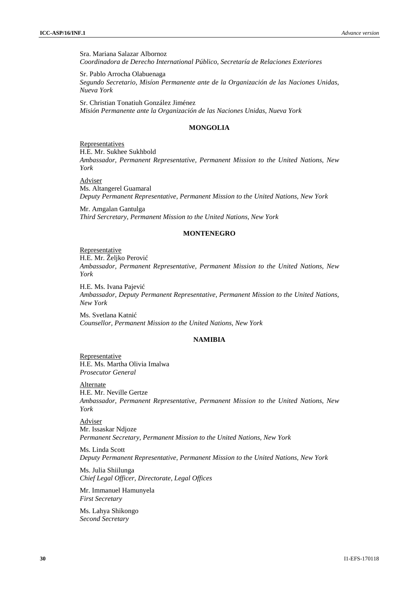Sra. Mariana Salazar Albornoz *Coordinadora de Derecho International Público, Secretaría de Relaciones Exteriores*

Sr. Pablo Arrocha Olabuenaga *Segundo Secretario, Misíon Permanente ante de la Organización de las Naciones Unidas, Nueva York*

Sr. Christian Tonatiuh González Jiménez *Misión Permanente ante la Organización de las Naciones Unidas, Nueva York*

## **MONGOLIA**

Representatives H.E. Mr. Sukhee Sukhbold *Ambassador, Permanent Representative, Permanent Mission to the United Nations, New York*

Adviser Ms. Altangerel Guamaral *Deputy Permanent Representative, Permanent Mission to the United Nations, New York*

Mr. Amgalan Gantulga *Third Sercretary, Permanent Mission to the United Nations, New York*

#### **MONTENEGRO**

#### **Representative**

H.E. Mr. Željko Perović *Ambassador, Permanent Representative, Permanent Mission to the United Nations, New York*

H.E. Ms. Ivana Pajevi *Ambassador, Deputy Permanent Representative, Permanent Mission to the United Nations, New York*

Ms. Svetlana Katnić *Counsellor, Permanent Mission to the United Nations, New York*

## **NAMIBIA**

**Representative** H.E. Ms. Martha Olivia Imalwa *Prosecutor General*

Alternate H.E. Mr. Neville Gertze *Ambassador, Permanent Representative, Permanent Mission to the United Nations, New York*

Adviser Mr. Issaskar Ndjoze *Permanent Secretary, Permanent Mission to the United Nations, New York*

Ms. Linda Scott *Deputy Permanent Representative, Permanent Mission to the United Nations, New York*

Ms. Julia Shiilunga *Chief Legal Officer, Directorate, Legal Offices*

Mr. Immanuel Hamunyela *First Secretary*

Ms. Lahya Shikongo *Second Secretary*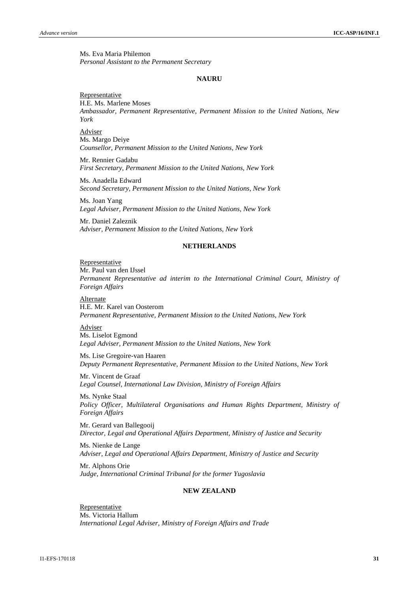Ms. Eva Maria Philemon *Personal Assistant to the Permanent Secretary*

#### **NAURU**

**Representative** H.E. Ms. Marlene Moses *Ambassador, Permanent Representative, Permanent Mission to the United Nations, New York*

Adviser Ms. Margo Deiye *Counsellor, Permanent Mission to the United Nations, New York*

Mr. Rennier Gadabu *First Secretary, Permanent Mission to the United Nations, New York*

Ms. Anadella Edward *Second Secretary, Permanent Mission to the United Nations, New York*

Ms. Joan Yang *Legal Adviser, Permanent Mission to the United Nations, New York*

Mr. Daniel Zaleznik *Adviser, Permanent Mission to the United Nations, New York*

## **NETHERLANDS**

#### Representative

Mr. Paul van den IJssel *Permanent Representative ad interim to the International Criminal Court, Ministry of Foreign Affairs*

Alternate H.E. Mr. Karel van Oosterom *Permanent Representative, Permanent Mission to the United Nations, New York*

#### Adviser

Ms. Liselot Egmond *Legal Adviser, Permanent Mission to the United Nations, New York*

Ms. Lise Gregoire-van Haaren *Deputy Permanent Representative, Permanent Mission to the United Nations, New York*

Mr. Vincent de Graaf *Legal Counsel, International Law Division, Ministry of Foreign Affairs*

Ms. Nynke Staal *Policy Officer, Multilateral Organisations and Human Rights Department, Ministry of Foreign Affairs*

Mr. Gerard van Ballegooij *Director, Legal and Operational Affairs Department, Ministry of Justice and Security*

Ms. Nienke de Lange *Adviser, Legal and Operational Affairs Department, Ministry of Justice and Security*

Mr. Alphons Orie *Judge, International Criminal Tribunal for the former Yugoslavia*

## **NEW ZEALAND**

Representative Ms. Victoria Hallum *International Legal Adviser, Ministry of Foreign Affairs and Trade*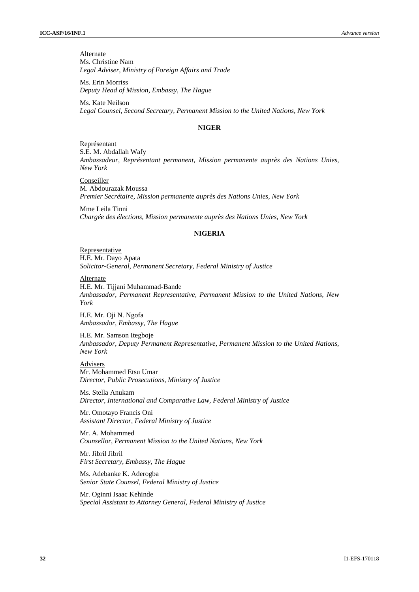**Alternate** Ms. Christine Nam *Legal Adviser, Ministry of Foreign Affairs and Trade*

Ms. Erin Morriss *Deputy Head of Mission, Embassy, The Hague*

Ms. Kate Neilson *Legal Counsel, Second Secretary, Permanent Mission to the United Nations, New York*

## **NIGER**

Représentant S.E. M. Abdallah Wafy *Ambassadeur, Représentant permanent, Mission permanente auprès des Nations Unies, New York*

**Conseiller** M. Abdourazak Moussa *Premier Secrétaire, Mission permanente auprès des Nations Unies, New York*

Mme Leila Tinni *Chargée des élections, Mission permanente auprès des Nations Unies, New York*

## **NIGERIA**

Representative H.E. Mr. Dayo Apata *Solicitor-General, Permanent Secretary, Federal Ministry of Justice*

**Alternate** 

H.E. Mr. Tijjani Muhammad-Bande *Ambassador, Permanent Representative, Permanent Mission to the United Nations, New York*

H.E. Mr. Oji N. Ngofa *Ambassador, Embassy, The Hague*

H.E. Mr. Samson Itegboje *Ambassador, Deputy Permanent Representative, Permanent Mission to the United Nations, New York*

**Advisers** Mr. Mohammed Etsu Umar *Director, Public Prosecutions, Ministry of Justice*

Ms. Stella Anukam *Director, International and Comparative Law, Federal Ministry of Justice*

Mr. Omotayo Francis Oni *Assistant Director, Federal Ministry of Justice*

Mr. A. Mohammed *Counsellor, Permanent Mission to the United Nations, New York*

Mr. Jibril Jibril *First Secretary, Embassy, The Hague*

Ms. Adebanke K. Aderogba *Senior State Counsel, Federal Ministry of Justice*

Mr. Oginni Isaac Kehinde *Special Assistant to Attorney General, Federal Ministry of Justice*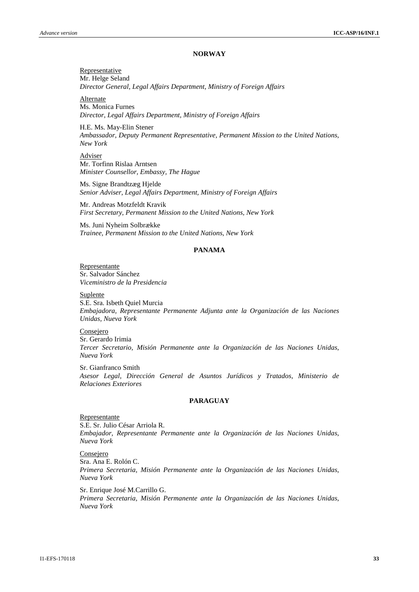#### **NORWAY**

Representative Mr. Helge Seland *Director General, Legal Affairs Department, Ministry of Foreign Affairs*

**Alternate** Ms. Monica Furnes *Director, Legal Affairs Department, Ministry of Foreign Affairs*

H.E. Ms. May-Elin Stener *Ambassador, Deputy Permanent Representative, Permanent Mission to the United Nations, New York*

Adviser Mr. Torfinn Rislaa Arntsen *Minister Counsellor, Embassy, The Hague*

Ms. Signe Brandtzæg Hjelde *Senior Adviser, Legal Affairs Department, Ministry of Foreign Affairs*

Mr. Andreas Motzfeldt Kravik *First Secretary, Permanent Mission to the United Nations, New York*

Ms. Juni Nyheim Solbrække *Trainee, Permanent Mission to the United Nations, New York*

## **PANAMA**

Representante Sr. Salvador Sánchez *Viceministro de la Presidencia*

Suplente

S.E. Sra. Isbeth Quiel Murcia *Embajadora, Representante Permanente Adjunta ante la Organización de las Naciones Unidas, Nueva York*

**Consejero** Sr. Gerardo Irimia *Tercer Secretario, Misión Permanente ante la Organización de las Naciones Unidas, Nueva York*

Sr. Gianfranco Smith *Asesor Legal, Dirección General de Asuntos Jurídicos y Tratados, Ministerio de Relaciones Exteriores*

#### **PARAGUAY**

Representante S.E. Sr. Julio César Arriola R. *Embajador, Representante Permanente ante la Organización de las Naciones Unidas, Nueva York*

Consejero Sra. Ana E. Rolón C.

*Primera Secretaria, Misión Permanente ante la Organización de las Naciones Unidas, Nueva York*

Sr. Enrique José M.Carrillo G. *Primera Secretaria, Misión Permanente ante la Organización de las Naciones Unidas, Nueva York*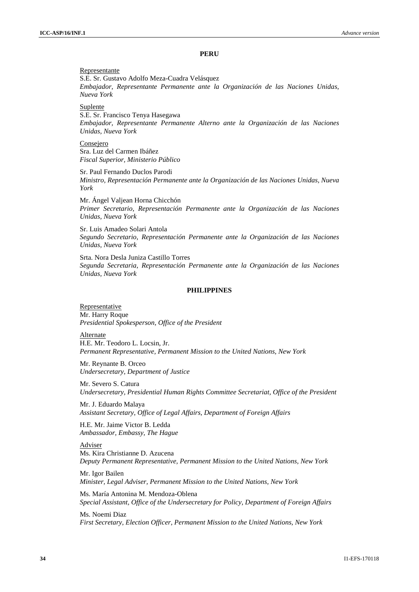#### **PERU**

#### Representante

S.E. Sr. Gustavo Adolfo Meza-Cuadra Velásquez *Embajador, Representante Permanente ante la Organización de las Naciones Unidas, Nueva York*

Suplente

S.E. Sr. Francisco Tenya Hasegawa *Embajador, Representante Permanente Alterno ante la Organización de las Naciones Unidas, Nueva York*

Consejero Sra. Luz del Carmen Ibáñez *Fiscal Superior, Ministerio Público*

Sr. Paul Fernando Duclos Parodi *Ministro, Representación Permanente ante la Organización de las Naciones Unidas, Nueva York*

Mr. Ángel Valjean Horna Chicchón *Primer Secretario, Representación Permanente ante la Organización de las Naciones Unidas, Nueva York*

Sr. Luis Amadeo Solari Antola *Segundo Secretario, Representación Permanente ante la Organización de las Naciones Unidas, Nueva York*

Srta. Nora Desla Juniza Castillo Torres *Segunda Secretaria, Representación Permanente ante la Organización de las Naciones Unidas, Nueva York*

#### **PHILIPPINES**

Representative Mr. Harry Roque *Presidential Spokesperson, Office of the President*

Alternate H.E. Mr. Teodoro L. Locsin, Jr. *Permanent Representative, Permanent Mission to the United Nations, New York*

Mr. Reynante B. Orceo *Undersecretary, Department of Justice*

Mr. Severo S. Catura *Undersecretary, Presidential Human Rights Committee Secretariat, Office of the President*

Mr. J. Eduardo Malaya *Assistant Secretary, Office of Legal Affairs, Department of Foreign Affairs*

H.E. Mr. Jaime Victor B. Ledda *Ambassador, Embassy, The Hague*

Adviser Ms. Kira Christianne D. Azucena *Deputy Permanent Representative, Permanent Mission to the United Nations, New York*

Mr. Igor Bailen *Minister, Legal Adviser, Permanent Mission to the United Nations, New York*

Ms. María Antonina M. Mendoza-Oblena *Special Assistant, Office of the Undersecretary for Policy, Department of Foreign Affairs*

Ms. Noemi Diaz *First Secretary, Election Officer, Permanent Mission to the United Nations, New York*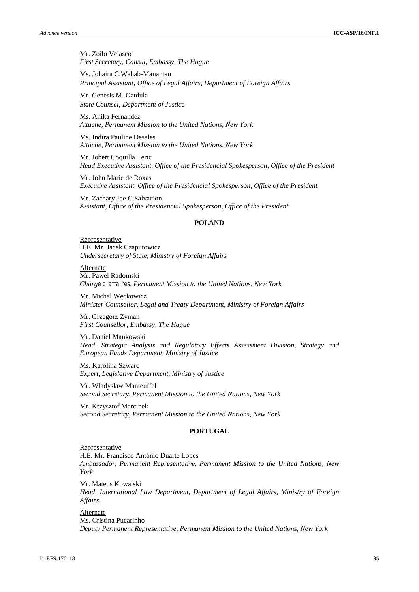Mr. Zoilo Velasco *First Secretary, Consul, Embassy, The Hague*

Ms. Johaira C.Wahab-Manantan *Principal Assistant*, *Office of Legal Affairs, Department of Foreign Affairs*

Mr. Genesis M. Gatdula *State Counsel*, *Department of Justice*

Ms. Anika Fernandez *Attache, Permanent Mission to the United Nations, New York*

Ms. Indira Pauline Desales *Attache, Permanent Mission to the United Nations, New York*

Mr. Jobert Coquilla Teric *Head Executive Assistant, Office of the Presidencial Spokesperson, Office of the President*

Mr. John Marie de Roxas *Executive Assistant, Office of the Presidencial Spokesperson, Office of the President*

Mr. Zachary Joe C.Salvacion *Assistant, Office of the Presidencial Spokesperson, Office of the President*

#### **POLAND**

Representative H.E. Mr. Jacek Czaputowicz *Undersecretary of State, Ministry of Foreign Affairs*

Alternate Mr. Pawel Radomski *Charge d'affaires, Permanent Mission to the United Nations, New York*

Mr. Michal W ckowicz *Minister Counsellor, Legal and Treaty Department, Ministry of Foreign Affairs*

Mr. Grzegorz Zyman *First Counsellor, Embassy, The Hague*

Mr. Daniel Mankowski *Head, Strategic Analysis and Regulatory Effects Assessment Division, Strategy and European Funds Department, Ministry of Justice*

Ms. Karolina Szwarc *Expert, Legislative Department, Ministry of Justice*

Mr. Wladyslaw Manteuffel *Second Secretary, Permanent Mission to the United Nations, New York*

Mr. Krzysztof Marcinek *Second Secretary, Permanent Mission to the United Nations, New York*

#### **PORTUGAL**

**Representative** 

H.E. Mr. Francisco António Duarte Lopes *Ambassador, Permanent Representative, Permanent Mission to the United Nations, New York*

Mr. Mateus Kowalski *Head, International Law Department, Department of Legal Affairs, Ministry of Foreign Affairs*

Alternate

Ms. Cristina Pucarinho *Deputy Permanent Representative, Permanent Mission to the United Nations, New York*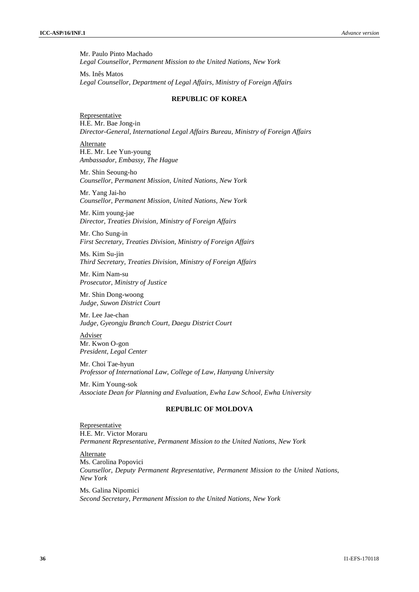Mr. Paulo Pinto Machado *Legal Counsellor, Permanent Mission to the United Nations, New York*

Ms. Inês Matos *Legal Counsellor, Department of Legal Affairs, Ministry of Foreign Affairs*

## **REPUBLIC OF KOREA**

Representative H.E. Mr. Bae Jong-in *Director-General, International Legal Affairs Bureau, Ministry of Foreign Affairs*

Alternate H.E. Mr. Lee Yun-young *Ambassador, Embassy, The Hague*

Mr. Shin Seoung-ho *Counsellor, Permanent Mission, United Nations, New York*

Mr. Yang Jai-ho *Counsellor, Permanent Mission, United Nations, New York*

Mr. Kim young-jae *Director, Treaties Division, Ministry of Foreign Affairs*

Mr. Cho Sung-in *First Secretary, Treaties Division, Ministry of Foreign Affairs*

Ms. Kim Su-jin *Third Secretary, Treaties Division, Ministry of Foreign Affairs*

Mr. Kim Nam-su *Prosecutor, Ministry of Justice*

Mr. Shin Dong-woong *Judge, Suwon District Court*

Mr. Lee Jae-chan *Judge, Gyeongju Branch Court, Daegu District Court*

Adviser Mr. Kwon O-gon *President, Legal Center*

Mr. Choi Tae-hyun *Professor of International Law, College of Law, Hanyang University*

Mr. Kim Young-sok *Associate Dean for Planning and Evaluation, Ewha Law School, Ewha University*

## **REPUBLIC OF MOLDOVA**

Representative H.E. Mr. Victor Moraru *Permanent Representative, Permanent Mission to the United Nations, New York*

Alternate Ms. Carolina Popovici *Counsellor, Deputy Permanent Representative, Permanent Mission to the United Nations, New York*

Ms. Galina Nipomici *Second Secretary, Permanent Mission to the United Nations, New York*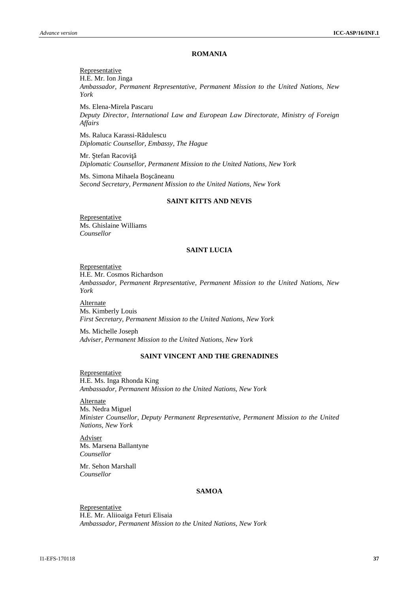#### **ROMANIA**

Representative H.E. Mr. Ion Jinga *Ambassador, Permanent Representative, Permanent Mission to the United Nations, New York*

Ms. Elena-Mirela Pascaru *Deputy Director, International Law and European Law Directorate, Ministry of Foreign Affairs*

Ms. Raluca Karassi-R dulescu *Diplomatic Counsellor, Embassy, The Hague*

Mr. tefan Racovi *Diplomatic Counsellor, Permanent Mission to the United Nations, New York*

Ms. Simona Mihaela Bo c neanu *Second Secretary, Permanent Mission to the United Nations, New York*

#### **SAINT KITTS AND NEVIS**

Representative Ms. Ghislaine Williams *Counsellor*

#### **SAINT LUCIA**

Representative H.E. Mr. Cosmos Richardson *Ambassador, Permanent Representative, Permanent Mission to the United Nations, New York*

Alternate Ms. Kimberly Louis *First Secretary, Permanent Mission to the United Nations, New York*

Ms. Michelle Joseph *Adviser, Permanent Mission to the United Nations, New York*

#### **SAINT VINCENT AND THE GRENADINES**

Representative H.E. Ms. Inga Rhonda King *Ambassador, Permanent Mission to the United Nations, New York*

Alternate Ms. Nedra Miguel *Minister Counsellor, Deputy Permanent Representative, Permanent Mission to the United Nations, New York*

Adviser Ms. Marsena Ballantyne *Counsellor*

Mr. Sehon Marshall *Counsellor*

### **SAMOA**

**Representative** H.E. Mr. Aliioaiga Feturi Elisaia *Ambassador, Permanent Mission to the United Nations, New York*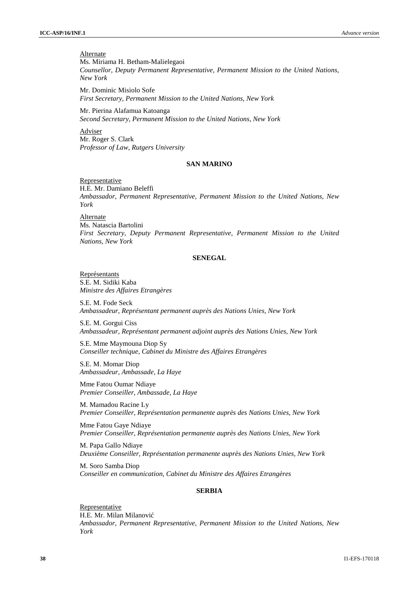**Alternate** Ms. Miriama H. Betham-Malielegaoi *Counsellor, Deputy Permanent Representative, Permanent Mission to the United Nations, New York*

Mr. Dominic Misiolo Sofe *First Secretary, Permanent Mission to the United Nations, New York*

Mr. Pierina Alafamua Katoanga *Second Secretary, Permanent Mission to the United Nations, New York*

Adviser Mr. Roger S. Clark *Professor of Law, Rutgers University*

#### **SAN MARINO**

Representative H.E. Mr. Damiano Beleffi *Ambassador, Permanent Representative, Permanent Mission to the United Nations, New York*

Alternate Ms. Natascia Bartolini *First Secretary, Deputy Permanent Representative, Permanent Mission to the United Nations, New York*

#### **SENEGAL**

Représentants S.E. M. Sidiki Kaba *Ministre des Affaires Etrangères*

S.E. M. Fode Seck *Ambassadeur, Représentant permanent auprès des Nations Unies, New York*

S.E. M. Gorgui Ciss *Ambassadeur, Représentant permanent adjoint auprès des Nations Unies, New York*

S.E. Mme Maymouna Diop Sy *Conseiller technique, Cabinet du Ministre des Affaires Etrangères*

S.E. M. Momar Diop *Ambassadeur, Ambassade, La Haye*

Mme Fatou Oumar Ndiaye *Premier Conseiller, Ambassade, La Haye*

M. Mamadou Racine Ly *Premier Conseiller, Représentation permanente auprès des Nations Unies, New York*

Mme Fatou Gaye Ndiaye *Premier Conseiller, Représentation permanente auprès des Nations Unies, New York*

M. Papa Gallo Ndiaye *Deuxième Conseiller, Représentation permanente auprès des Nations Unies, New York*

M. Soro Samba Diop *Conseiller en communication, Cabinet du Ministre des Affaires Etrangères*

## **SERBIA**

Representative H.E. Mr. Milan Milanovi *Ambassador, Permanent Representative, Permanent Mission to the United Nations, New York*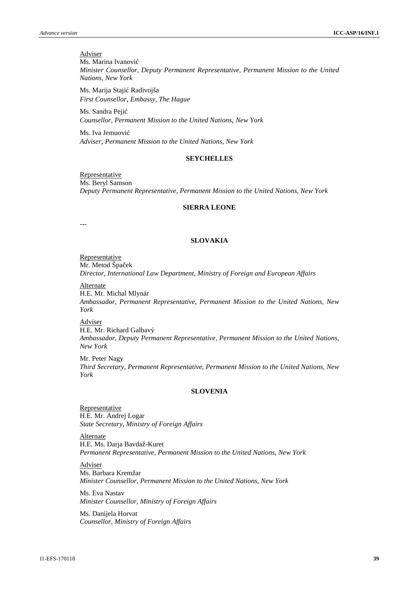Adviser Ms. Marina Ivanovi *Minister Counsellor, Deputy Permanent Representative, Permanent Mission to the United Nations, New York*

Ms. Marija Staji Radivojša *First Counsellor*, *Embassy, The Hague*

Ms. Sandra Peji *Counsellor, Permanent Mission to the United Nations*, *New York*

Ms. Iva Jemuovi *Adviser*, *Permanent Mission to the United Nations, New York*

#### **SEYCHELLES**

Representative Ms. Beryl Samson *Deputy Permanent Representative, Permanent Mission to the United Nations, New York*

#### **SIERRA LEONE**

---

#### **SLOVAKIA**

**Representative** Mr. Metod Špa ek *Director, International Law Department, Ministry of Foreign and European Affairs*

Alternate

H.E. Mr. Michal Mlynár *Ambassador, Permanent Representative, Permanent Mission to the United Nations, New York*

Adviser

H.E. Mr. Richard Galbavý *Ambassador, Deputy Permanent Representative, Permanent Mission to the United Nations, New York*

Mr. Peter Nagy *Third Secretary, Permanent Representative, Permanent Mission to the United Nations, New York*

#### **SLOVENIA**

Representative H.E. Mr. Andrej Logar *State Secretary, Ministry of Foreign Affairs*

Alternate H.E. Ms. Darja Bavdaž-Kuret *Permanent Representative, Permanent Mission to the United Nations, New York*

Adviser Ms. Barbara Kremžar *Minister Counsellor, Permanent Mission to the United Nations, New York*

Ms. Eva Nastav *Minister Counsellor, Ministry of Foreign Affairs*

Ms. Danijela Horvat *Counsellor, Ministry of Foreign Affairs*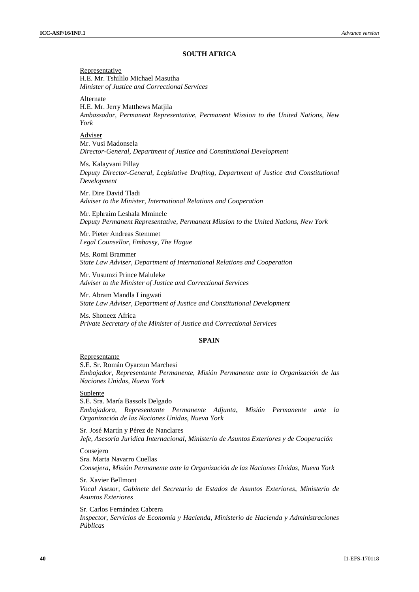#### **SOUTH AFRICA**

Representative H.E. Mr. Tshililo Michael Masutha *Minister of Justice and Correctional Services*

**Alternate** 

H.E. Mr. Jerry Matthews Matjila *Ambassador, Permanent Representative, Permanent Mission to the United Nations, New York*

Adviser

Mr. Vusi Madonsela *Director-General, Department of Justice and Constitutional Development*

Ms. Kalayvani Pillay *Deputy Director-General, Legislative Drafting, Department of Justice and Constitutional Development*

Mr. Dire David Tladi *Adviser to the Minister, International Relations and Cooperation*

Mr. Ephraim Leshala Mminele *Deputy Permanent Representative, Permanent Mission to the United Nations, New York*

Mr. Pieter Andreas Stemmet *Legal Counsellor, Embassy, The Hague*

Ms. Romi Brammer *State Law Adviser, Department of International Relations and Cooperation*

Mr. Vusumzi Prince Maluleke *Adviser to the Minister of Justice and Correctional Services*

Mr. Abram Mandla Lingwati *State Law Adviser, Department of Justice and Constitutional Development*

Ms. Shoneez Africa *Private Secretary of the Minister of Justice and Correctional Services*

#### **SPAIN**

Representante

S.E. Sr. Román Oyarzun Marchesi *Embajador, Representante Permanente, Misión Permanente ante la Organización de las Naciones Unidas, Nueva York*

Suplente

S.E. Sra. María Bassols Delgado *Embajadora, Representante Permanente Adjunta*, *Misión Permanente ante la Organización de las Naciones Unidas, Nueva York*

Sr. José Martín y Pérez de Nanclares *Jefe, Asesoría Juridica Internacional, Ministerio de Asuntos Exteriores y de Cooperación*

#### Consejero

Sra. Marta Navarro Cuellas *Consejera*, *Misión Permanente ante la Organización de las Naciones Unidas, Nueva York*

Sr. Xavier Bellmont *Vocal Asesor, Gabinete del Secretario de Estados de Asuntos Exteriores*, *Ministerio de Asuntos Exteriores*

Sr. Carlos Fernández Cabrera *Inspector, Servicios de Economía y Hacienda, Ministerio de Hacienda y Administraciones Públicas*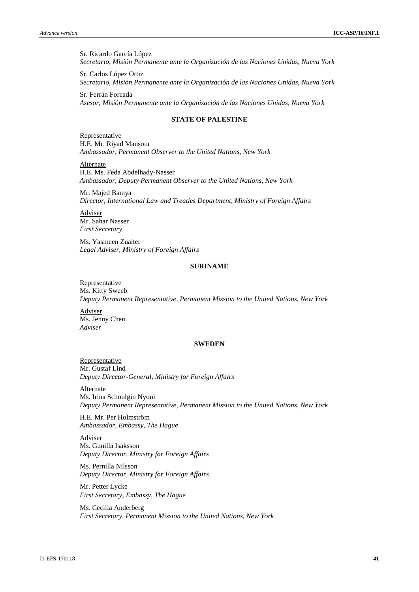Sr. Ricardo García López *Secretario*, *Misión Permanente ante la Organización de las Naciones Unidas, Nueva York*

Sr. Carlos López Ortiz *Secretario, Misión Permanente ante la Organización de las Naciones Unidas, Nueva York*

Sr. Ferrán Forcada *Asesor, Misión Permanente ante la Organización de las Naciones Unidas, Nueva York*

## **STATE OF PALESTINE**

Representative H.E. Mr. Riyad Mansour *Ambassador, Permanent Observer to the United Nations, New York*

Alternate H.E. Ms. Feda Abdelhady-Nasser *Ambassador, Deputy Permanent Observer to the United Nations, New York*

Mr. Majed Bamya *Director, International Law and Treaties Department, Ministry of Foreign Affairs*

Adviser Mr. Sahar Nasser *First Secretary*

Ms. Yasmeen Zuaiter *Legal Adviser, Ministry of Foreign Affairs*

## **SURINAME**

**Representative** Ms. Kitty Sweeb *Deputy Permanent Representative, Permanent Mission to the United Nations, New York*

Adviser Ms. Jenny Chen *Adviser*

#### **SWEDEN**

Representative Mr. Gustaf Lind *Deputy Director-General, Ministry for Foreign Affairs*

Alternate Ms. Irina Schoulgin Nyoni *Deputy Permanent Representative, Permanent Mission to the United Nations, New York*

H.E. Mr. Per Holmström *Ambassador, Embassy, The Hague*

Adviser Ms. Gunilla Isaksson *Deputy Director, Ministry for Foreign Affairs*

Ms. Pernilla Nilsson *Deputy Director, Ministry for Foreign Affairs*

Mr. Petter Lycke *First Secretary*, *Embassy, The Hague*

Ms. Cecilia Anderberg *First Secretary, Permanent Mission to the United Nations, New York*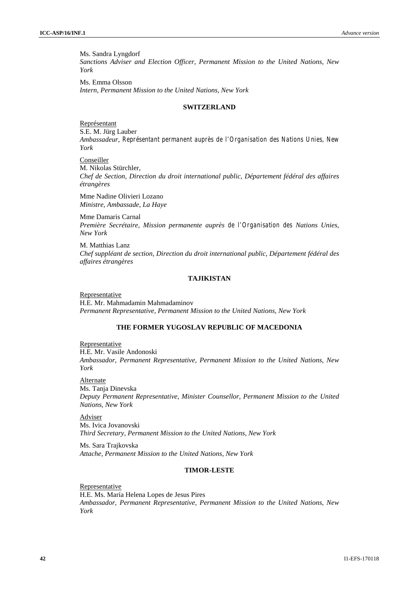Ms. Sandra Lyngdorf *Sanctions Adviser and Election Officer, Permanent Mission to the United Nations, New York*

Ms. Emma Olsson *Intern, Permanent Mission to the United Nations, New York*

#### **SWITZERLAND**

Représentant S.E. M. Jürg Lauber *Ambassadeur, Représentant permanent auprès de l'Organisation des Nations Unies, New York*

Conseiller M. Nikolas Stürchler, *Chef de Section, Direction du droit international public, Département fédéral des affaires étrangères*

Mme Nadine Olivieri Lozano *Ministre, Ambassade, La Haye*

Mme Damaris Carnal *Première Secrétaire, Mission permanente auprès de l'Organisation des Nations Unies, New York*

M. Matthias Lanz *Chef suppléant de section, Direction du droit international public, Département fédéral des affaires étrangères*

#### **TAJIKISTAN**

Representative H.E. Mr. Mahmadamin Mahmadaminov *Permanent Representative, Permanent Mission to the United Nations, New York*

## **THE FORMER YUGOSLAV REPUBLIC OF MACEDONIA**

Representative H.E. Mr. Vasile Andonoski *Ambassador, Permanent Representative, Permanent Mission to the United Nations, New York*

Alternate Ms. Tanja Dinevska *Deputy Permanent Representative, Minister Counsellor, Permanent Mission to the United Nations, New York*

Adviser Ms. Ivica Jovanovski *Third Secretary, Permanent Mission to the United Nations, New York*

Ms. Sara Trajkovska *Attache, Permanent Mission to the United Nations, New York*

## **TIMOR-LESTE**

Representative H.E. Ms. María Helena Lopes de Jesus Pires *Ambassador, Permanent Representative, Permanent Mission to the United Nations, New York*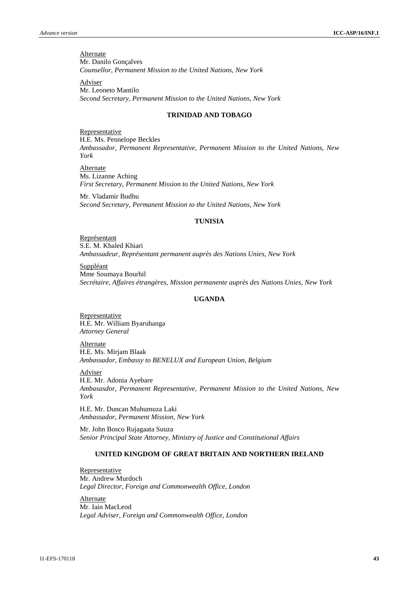**Alternate** Mr. Danilo Gonçalves *Counsellor, Permanent Mission to the United Nations, New York*

Adviser Mr. Leoneto Mantilo *Second Secretary, Permanent Mission to the United Nations, New York*

## **TRINIDAD AND TOBAGO**

Representative H.E. Ms. Pennelope Beckles *Ambassador, Permanent Representative, Permanent Mission to the United Nations, New York*

Alternate Ms. Lizanne Aching *First Secretary, Permanent Mission to the United Nations, New York*

Mr. Vladamir Budhu *Second Secretary, Permanent Mission to the United Nations, New York*

## **TUNISIA**

Représentant S.E. M. Khaled Khiari *Ambassadeur, Représentant permanent auprès des Nations Unies, New York*

Suppléant Mme Soumaya Bourhil *Secrétaire, Affaires étrangères, Mission permanente auprès des Nations Unies, New York*

#### **UGANDA**

**Representative** H.E. Mr. William Byaruhanga *Attorney General*

**Alternate** H.E. Ms. Mirjam Blaak *Ambassador, Embassy to BENELUX and European Union, Belgium*

Adviser

H.E. Mr. Adonia Ayebare *Ambasasdor, Permanent Representative, Permanent Mission to the United Nations, New York*

H.E. Mr. Duncan Muhumuza Laki *Ambassador, Permanent Mission, New York*

Mr. John Bosco Rujagaata Suuza *Senior Principal State Attorney, Ministry of Justice and Constitutional Affairs*

#### **UNITED KINGDOM OF GREAT BRITAIN AND NORTHERN IRELAND**

Representative Mr. Andrew Murdoch *Legal Director, Foreign and Commonwealth Office, London*

Alternate Mr. Iain MacLeod *Legal Adviser, Foreign and Commonwealth Office, London*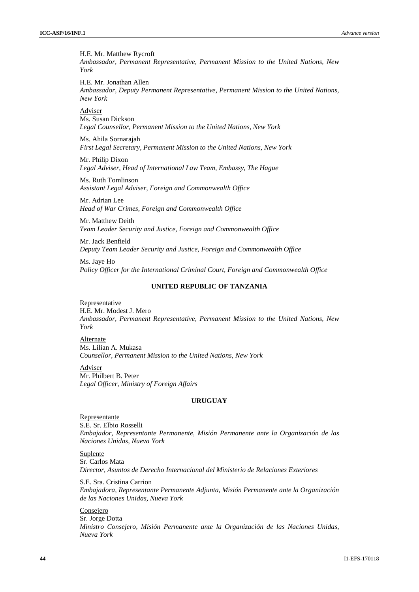H.E. Mr. Matthew Rycroft *Ambassador, Permanent Representative, Permanent Mission to the United Nations, New York*

H.E. Mr. Jonathan Allen *Ambassador, Deputy Permanent Representative, Permanent Mission to the United Nations, New York*

Adviser Ms. Susan Dickson *Legal Counsellor, Permanent Mission to the United Nations, New York*

Ms. Ahila Sornarajah *First Legal Secretary, Permanent Mission to the United Nations, New York*

Mr. Philip Dixon *Legal Adviser, Head of International Law Team, Embassy, The Hague*

Ms. Ruth Tomlinson *Assistant Legal Adviser, Foreign and Commonwealth Office*

Mr. Adrian Lee *Head of War Crimes, Foreign and Commonwealth Office*

Mr. Matthew Deith *Team Leader Security and Justice, Foreign and Commonwealth Office*

Mr. Jack Benfield *Deputy Team Leader Security and Justice, Foreign and Commonwealth Office*

Ms. Jaye Ho *Policy Officer for the International Criminal Court, Foreign and Commonwealth Office*

## **UNITED REPUBLIC OF TANZANIA**

**Representative** H.E. Mr. Modest J. Mero *Ambassador, Permanent Representative, Permanent Mission to the United Nations, New York*

Alternate Ms. Lilian A. Mukasa *Counsellor, Permanent Mission to the United Nations, New York*

Adviser Mr. Philbert B. Peter *Legal Officer, Ministry of Foreign Affairs*

#### **URUGUAY**

Representante S.E. Sr. Elbio Rosselli *Embajador, Representante Permanente, Misión Permanente ante la Organización de las Naciones Unidas, Nueva York*

Suplente Sr. Carlos Mata *Director, Asuntos de Derecho Internacional del Ministerio de Relaciones Exteriores*

S.E. Sra. Cristina Carrion *Embajadora, Representante Permanente Adjunta, Misión Permanente ante la Organización de las Naciones Unidas, Nueva York*

Consejero Sr. Jorge Dotta *Ministro Consejero, Misión Permanente ante la Organización de las Naciones Unidas, Nueva York*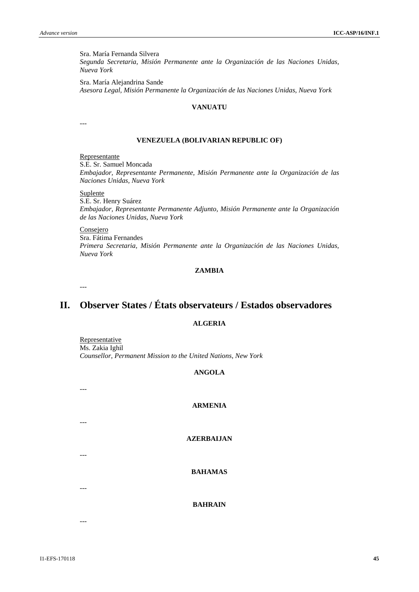Sra. María Fernanda Silvera *Segunda Secretaria, Misión Permanente ante la Organización de las Naciones Unidas, Nueva York*

Sra. María Alejandrina Sande *Asesora Legal, Misión Permanente la Organización de las Naciones Unidas, Nueva York*

#### **VANUATU**

---

#### **VENEZUELA (BOLIVARIAN REPUBLIC OF)**

Representante

S.E. Sr. Samuel Moncada *Embajador, Representante Permanente, Misión Permanente ante la Organización de las Naciones Unidas, Nueva York*

#### Suplente

S.E. Sr. Henry Suárez *Embajador, Representante Permanente Adjunto, Misión Permanente ante la Organización de las Naciones Unidas, Nueva York*

Consejero Sra. Fátima Fernandes *Primera Secretaria, Misión Permanente ante la Organización de las Naciones Unidas, Nueva York*

## **ZAMBIA**

---

## **II. Observer States / États observateurs / Estados observadores**

## **ALGERIA**

**Representative** Ms. Zakia Ighil *Counsellor, Permanent Mission to the United Nations, New York*

## **ANGOLA**

## **ARMENIA**

**AZERBAIJAN**

**BAHAMAS**

**BAHRAIN**

---

---

- 
- ---

---

---

I1-EFS-170118 **45**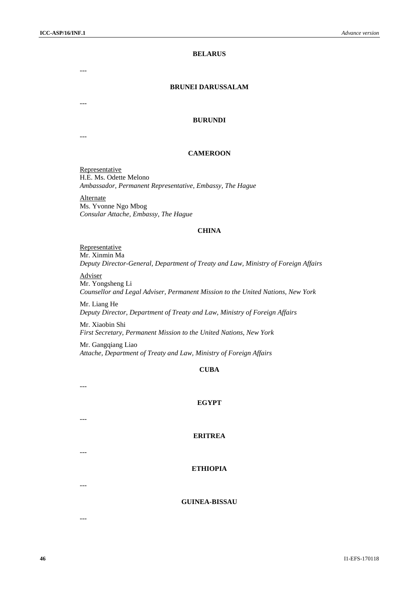## **BELARUS**

---

#### **BRUNEI DARUSSALAM**

#### **BURUNDI**

---

---

## **CAMEROON**

Representative H.E. Ms. Odette Melono *Ambassador, Permanent Representative, Embassy, The Hague*

Alternate Ms. Yvonne Ngo Mbog *Consular Attache, Embassy, The Hague*

#### **CHINA**

Representative Mr. Xinmin Ma *Deputy Director-General, Department of Treaty and Law, Ministry of Foreign Affairs*

Adviser Mr. Yongsheng Li *Counsellor and Legal Adviser, Permanent Mission to the United Nations, New York*

Mr. Liang He *Deputy Director, Department of Treaty and Law, Ministry of Foreign Affairs*

Mr. Xiaobin Shi

*First Secretary, Permanent Mission to the United Nations, New York*

Mr. Gangqiang Liao *Attache, Department of Treaty and Law, Ministry of Foreign Affairs*

## **CUBA**

---

#### **EGYPT**

---

---

---

---

## **ERITREA**

## **ETHIOPIA**

## **GUINEA-BISSAU**

**46** I1-EFS-170118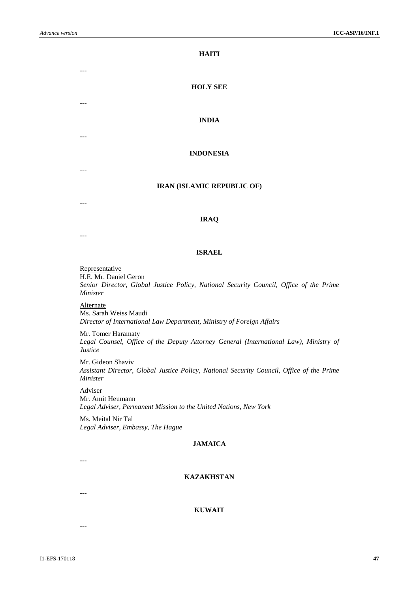**HAITI**

## **HOLY SEE**

## **INDIA**

## **INDONESIA**

#### **IRAN (ISLAMIC REPUBLIC OF)**

---

---

---

---

---

## **IRAQ**

---

## **ISRAEL**

**Representative** 

H.E. Mr. Daniel Geron

*Senior Director, Global Justice Policy, National Security Council, Office of the Prime Minister*

Alternate Ms. Sarah Weiss Maudi *Director of International Law Department, Ministry of Foreign Affairs*

Mr. Tomer Haramaty *Legal Counsel, Office of the Deputy Attorney General (International Law), Ministry of Justice*

Mr. Gideon Shaviv *Assistant Director, Global Justice Policy, National Security Council, Office of the Prime Minister*

Adviser

Mr. Amit Heumann *Legal Adviser, Permanent Mission to the United Nations, New York*

Ms. Meital Nir Tal *Legal Adviser, Embassy, The Hague*

## **JAMAICA**

---

## **KAZAKHSTAN**

---

**KUWAIT**

---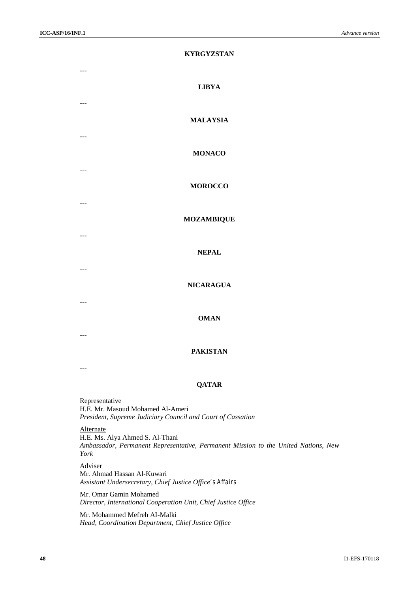---

---

---

---

---

---

---

---

---

## **KYRGYZSTAN**

## **LIBYA**

## **MALAYSIA**

## **MONACO**

## **MOROCCO**

#### **MOZAMBIQUE**

#### **NEPAL**

#### **NICARAGUA**

#### **OMAN**

## **PAKISTAN**

---

#### **QATAR**

**Representative** H.E. Mr. Masoud Mohamed Al-Ameri *President, Supreme Judiciary Council and Court of Cassation*

## Alternate

H.E. Ms. Alya Ahmed S. Al-Thani *Ambassador, Permanent Representative, Permanent Mission to the United Nations, New York*

Adviser Mr. Ahmad Hassan Al-Kuwari *Assistant Undersecretary, Chief Justice Office's Affairs*

Mr. Omar Gamin Mohamed *Director, International Cooperation Unit, Chief Justice Office*

Mr. Mohammed Mefreh AI-Malki *Head, Coordination Department, Chief Justice Office*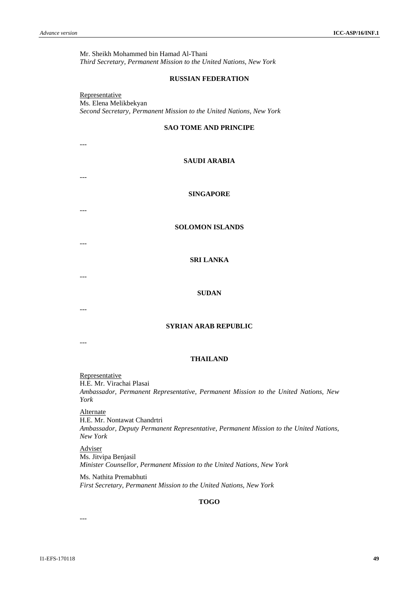Mr. Sheikh Mohammed bin Hamad Al-Thani *Third Secretary, Permanent Mission to the United Nations, New York*

#### **RUSSIAN FEDERATION**

Representative Ms. Elena Melikbekyan *Second Secretary, Permanent Mission to the United Nations, New York*

## **SAO TOME AND PRINCIPE**

## **SAUDI ARABIA**

---

---

---

---

---

**SINGAPORE**

**SOLOMON ISLANDS**

## **SRI LANKA**

#### **SUDAN**

---

## **SYRIAN ARAB REPUBLIC**

---

#### **THAILAND**

**Representative** H.E. Mr. Virachai Plasai *Ambassador, Permanent Representative, Permanent Mission to the United Nations, New York*

Alternate H.E. Mr. Nontawat Chandrtri *Ambassador, Deputy Permanent Representative, Permanent Mission to the United Nations, New York*

Adviser Ms. Jitvipa Benjasil *Minister Counsellor, Permanent Mission to the United Nations, New York*

Ms. Nathita Premabhuti *First Secretary, Permanent Mission to the United Nations, New York*

#### **TOGO**

---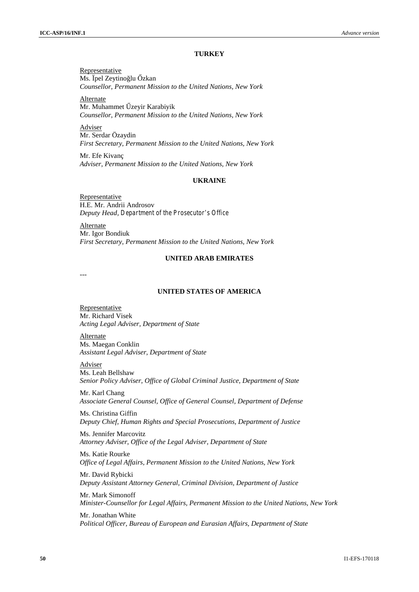#### **TURKEY**

Representative Ms. Ipel Zeytino lu zkan *Counsellor, Permanent Mission to the United Nations, New York*

Alternate Mr. Muhammet zeyir Karabiyik *Counsellor, Permanent Mission to the United Nations, New York*

Adviser Mr. Serdar Özaydin *First Secretary, Permanent Mission to the United Nations, New York*

Mr. Efe Kivanç *Adviser, Permanent Mission to the United Nations, New York*

## **UKRAINE**

Representative H.E. Mr. Andrii Androsov *Deputy Head, Department of the Prosecutor's Office*

Alternate Mr. Igor Bondiuk *First Secretary, Permanent Mission to the United Nations, New York*

#### **UNITED ARAB EMIRATES**

---

#### **UNITED STATES OF AMERICA**

Representative Mr. Richard Visek *Acting Legal Adviser, Department of State*

Alternate Ms. Maegan Conklin *Assistant Legal Adviser, Department of State*

Adviser Ms. Leah Bellshaw *Senior Policy Adviser, Office of Global Criminal Justice, Department of State*

Mr. Karl Chang *Associate General Counsel, Office of General Counsel, Department of Defense*

Ms. Christina Giffin *Deputy Chief, Human Rights and Special Prosecutions, Department of Justice*

Ms. Jennifer Marcovitz *Attorney Adviser, Office of the Legal Adviser, Department of State*

Ms. Katie Rourke *Office of Legal Affairs, Permanent Mission to the United Nations, New York*

Mr. David Rybicki *Deputy Assistant Attorney General, Criminal Division, Department of Justice*

Mr. Mark Simonoff *Minister-Counsellor for Legal Affairs, Permanent Mission to the United Nations, New York*

Mr. Jonathan White *Political Officer, Bureau of European and Eurasian Affairs, Department of State*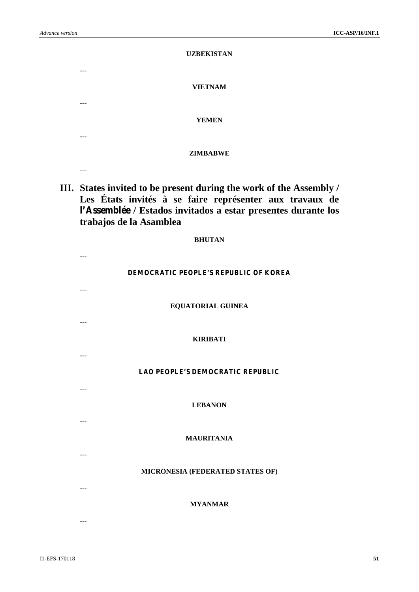|            | <b>UZBEKISTAN</b> |
|------------|-------------------|
| ---<br>--- | <b>VIETNAM</b>    |
| ---        | <b>YEMEN</b>      |
| ---        | <b>ZIMBABWE</b>   |
|            |                   |

**III. States invited to be present during the work of the Assembly / Les États invités à se faire représenter aux travaux de l'Assemblée / Estados invitados a estar presentes durante los trabajos de la Asamblea**

| <b>BHUTAN</b>                         |         |
|---------------------------------------|---------|
| DEMOCRATIC PEOPLE'S REPUBLIC OF KOREA | $---$   |
| EQUATORIAL GUINEA                     | $---$   |
| <b>KIRIBATI</b>                       |         |
| LAO PEOPLE'S DEMOCRATIC REPUBLIC      | $---$   |
| <b>LEBANON</b>                        | $- - -$ |
| <b>MAURITANIA</b>                     |         |
| MICRONESIA (FEDERATED STATES OF)      | $---$   |
| <b>MYANMAR</b>                        | $---$   |
|                                       | $---$   |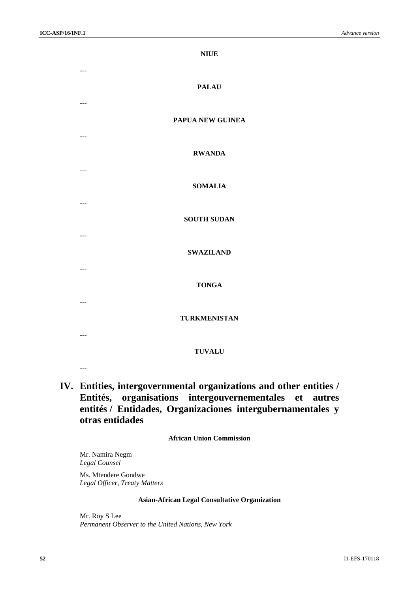|                      | <b>NIUE</b>         |
|----------------------|---------------------|
| $---$<br>$---$       | <b>PALAU</b>        |
| $---$                | PAPUA NEW GUINEA    |
| $---$                | <b>RWANDA</b>       |
|                      | <b>SOMALIA</b>      |
| $---$                | <b>SOUTH SUDAN</b>  |
| $---$                | <b>SWAZILAND</b>    |
| $\scriptstyle\cdots$ | <b>TONGA</b>        |
| $\sim$ $\sim$ $\sim$ | <b>TURKMENISTAN</b> |
| $---$                | <b>TUVALU</b>       |
|                      |                     |

## **IV. Entities, intergovernmental organizations and other entities / Entités, organisations intergouvernementales et autres entités / Entidades, Organizaciones intergubernamentales y otras entidades**

## **African Union Commission**

Mr. Namira Negm *Legal Counsel*

Ms. Mtendere Gondwe *Legal Officer, Treaty Matters*

## **Asian-African Legal Consultative Organization**

Mr. Roy S Lee *Permanent Observer to the United Nations, New York*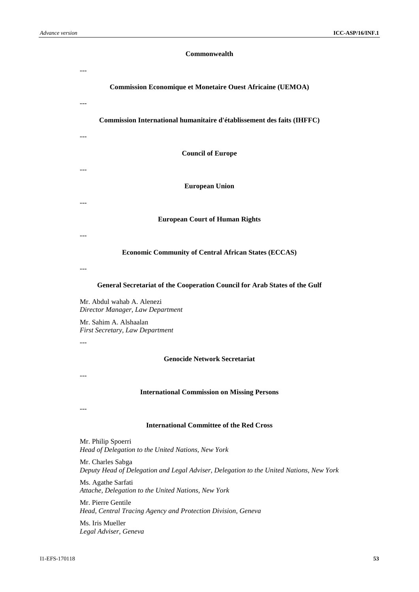## **Commonwealth**

| <b>Commission Economique et Monetaire Ouest Africaine (UEMOA)</b>          |
|----------------------------------------------------------------------------|
| $---$                                                                      |
| Commission International humanitaire d'établissement des faits (IHFFC)     |
| <b>Council of Europe</b>                                                   |
|                                                                            |
| <b>European Union</b>                                                      |
| <b>European Court of Human Rights</b>                                      |
| <b>Economic Community of Central African States (ECCAS)</b>                |
|                                                                            |
| General Secretariat of the Cooperation Council for Arab States of the Gulf |
| Mr. Abdul wahab A. Alenezi                                                 |
| Director Manager, Law Department                                           |

Mr. Sahim A. Alshaalan *First Secretary, Law Department*

---

## **Genocide Network Secretariat**

---

## **International Commission on Missing Persons**

---

#### **International Committee of the Red Cross**

Mr. Philip Spoerri *Head of Delegation to the United Nations, New York*

Mr. Charles Sabga *Deputy Head of Delegation and Legal Adviser, Delegation to the United Nations, New York*

Ms. Agathe Sarfati *Attache, Delegation to the United Nations, New York*

Mr. Pierre Gentile *Head, Central Tracing Agency and Protection Division, Geneva*

Ms. Iris Mueller *Legal Adviser, Geneva*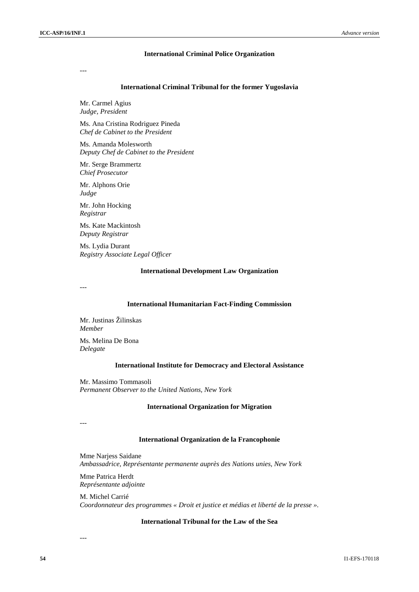#### **International Criminal Police Organization**

---

#### **International Criminal Tribunal for the former Yugoslavia**

Mr. Carmel Agius *Judge, President*

Ms. Ana Cristina Rodriguez Pineda *Chef de Cabinet to the President*

Ms. Amanda Molesworth *Deputy Chef de Cabinet to the President*

Mr. Serge Brammertz *Chief Prosecutor*

Mr. Alphons Orie *Judge*

Mr. John Hocking *Registrar*

Ms. Kate Mackintosh *Deputy Registrar*

Ms. Lydia Durant *Registry Associate Legal Officer*

#### **International Development Law Organization**

---

#### **International Humanitarian Fact-Finding Commission**

Mr. Justinas Žilinskas *Member*

Ms. Melina De Bona *Delegate*

#### **International Institute for Democracy and Electoral Assistance**

Mr. Massimo Tommasoli *Permanent Observer to the United Nations, New York*

#### **International Organization for Migration**

---

#### **International Organization de la Francophonie**

Mme Narjess Saidane *Ambassadrice, Représentante permanente auprès des Nations unies, New York*

Mme Patrica Herdt *Représentante adjointe*

M. Michel Carrié *Coordonnateur des programmes « Droit et justice et médias et liberté de la presse ».*

## **International Tribunal for the Law of the Sea**

---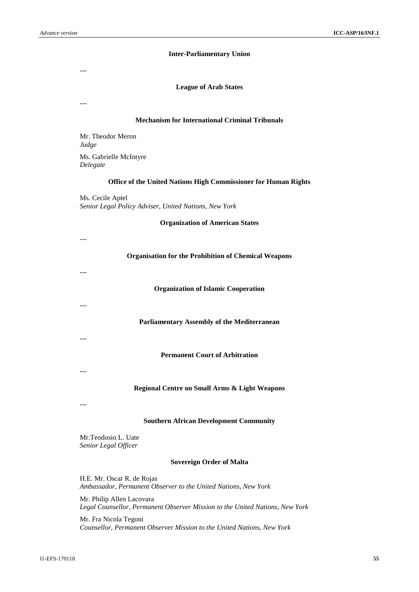#### **Inter-Parliamentary Union**

---

#### **League of Arab States**

---

## **Mechanism for International Criminal Tribunals**

Mr. Theodor Meron *Judge* Ms. Gabrielle McIntyre *Delegate*

#### **Office of the United Nations High Commissioner for Human Rights**

Ms. Cecile Aptel *Senior Legal Policy Adviser, United Nations, New York*

#### **Organization of American States**

--- **Organisation for the Prohibition of Chemical Weapons** --- **Organization of Islamic Cooperation** --- **Parliamentary Assembly of the Mediterranean** --- **Permanent Court of Arbitration** --- **Regional Centre on Small Arms & Light Weapons** --- **Southern African Development Community**

Mr.Teodosio L. Uate *Senior Legal Officer*

## **Sovereign Order of Malta**

H.E. Mr. Oscar R. de Rojas *Ambassador, Permanent Observer to the United Nations, New York*

Mr. Philip Allen Lacovara *Legal Counsellor, Permanent Observer Mission to the United Nations, New York*

Mr. Fra Nicola Tegoni *Counsellor, Permanent Observer Mission to the United Nations, New York*